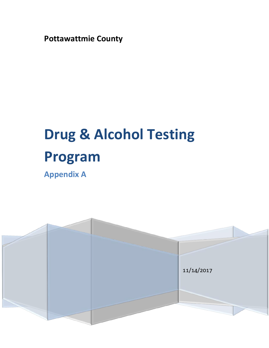**Pottawattmie County**

# **Drug & Alcohol Testing Program**

**Appendix A**

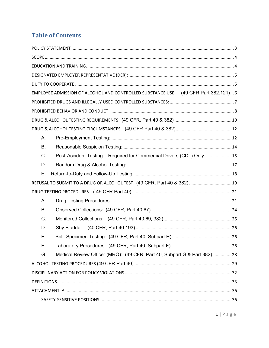# **Table of Contents**

|       | EMPLOYEE ADMISSION OF ALCOHOL AND CONTROLLED SUBSTANCE USE: (49 CFR Part 382.121) 6 |  |
|-------|-------------------------------------------------------------------------------------|--|
|       |                                                                                     |  |
|       |                                                                                     |  |
|       |                                                                                     |  |
|       |                                                                                     |  |
| Α.    |                                                                                     |  |
| Β.    |                                                                                     |  |
| $C$ . | Post-Accident Testing - Required for Commercial Drivers (CDL) Only  15              |  |
| D.    |                                                                                     |  |
| Е.    |                                                                                     |  |
|       | REFUSAL TO SUBMIT TO A DRUG OR ALCOHOL TEST (49 CFR, Part 40 & 382) 19              |  |
|       |                                                                                     |  |
| А.    |                                                                                     |  |
| В.    |                                                                                     |  |
| C.    |                                                                                     |  |
| D.    |                                                                                     |  |
| Е.    |                                                                                     |  |
| F.    |                                                                                     |  |
| G.    | Medical Review Officer (MRO): (49 CFR, Part 40, Subpart G & Part 382)28             |  |
|       |                                                                                     |  |
|       |                                                                                     |  |
|       |                                                                                     |  |
|       |                                                                                     |  |
|       |                                                                                     |  |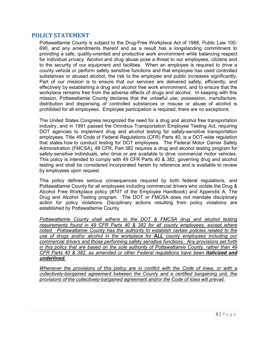## <span id="page-3-0"></span>**POLICY STATEMENT**

Pottawattamie County is subject to the Drug-Free Workplace Act of 1988, Public Law 100- 690, and any amendments thereof and as a result has a longstanding commitment to providing a safe, quality-oriented and productive work environment while balancing respect for individual privacy. Alcohol and drug abuse pose a threat to our employees, citizens and to the security of our equipment and facilities. When an employee is required to drive a county vehicle or perform safety sensitive functions and that employee has used controlled substances or abused alcohol, the risk to the employee and public increases significantly. Part of our mission is to ensure that our services are delivered safely, efficiently, and effectively by establishing a drug and alcohol free work environment, and to ensure that the workplace remains free from the adverse effects of drugs and alcohol. In keeping with this mission, Pottawattamie County declares that the unlawful use, possession, manufacture, distribution and dispensing of controlled substances or misuse or abuse of alcohol is prohibited for all employees. Employee participation is required, there are no exceptions.

The United States Congress recognized the need for a drug and alcohol free transportation industry, and in 1991 passed the Omnibus Transportation Employee Testing Act, requiring DOT agencies to implement drug and alcohol testing for safety-sensitive transportation employees. Title 49 Code of Federal Regulations (CFR) Parts 40, is a DOT-wide regulation that states how to conduct testing for DOT employees. The Federal Motor Carrier Safety Administration (FMCSA), 49 CFR, Part 382 requires a drug and alcohol testing program for safety-sensitive individuals, who drive or are available to drive commercial motor vehicles. This policy is intended to comply with 49 CFR Parts 40 & 382, governing drug and alcohol testing and shall be considered incorporated herein by reference and is available to review by employees upon request.

This policy defines serious consequences required by both federal regulations, and Pottawattamie County for all employees including commercial drivers who violate the Drug & Alcohol Free Workplace policy (#707 of the Employee Handbook) and Appendix A, The Drug and Alcohol Testing program. The DOT or FMCSA does not mandate disciplinary action for policy violations. Disciplinary actions resulting from policy violations are established by Pottawattamie County.

*Pottawattamie County shall adhere to the DOT & FMCSA drug and alcohol testing requirements found in 49 CFR Parts 40 & 382 for all county employees, except where noted. Pottawattamie County has the authority to establish certain policies related to the use of drugs and/or alcohol in the workplace for ALL county employees including our commercial drivers and those performing safety sensitive functions. Any provisions set forth in this policy that are based on the sole authority of Pottawattamie County, rather than 49 CFR Parts 40 & 382, as amended or other Federal regulations have been italicized and underlined.*

<span id="page-3-1"></span>*Whenever the provisions of this policy are in conflict with the Code of Iowa, or with a collectively-bargained agreement between the County and a certified bargaining unit, the provisions of the collectively-bargained agreement and/or the Code of Iowa will prevail.*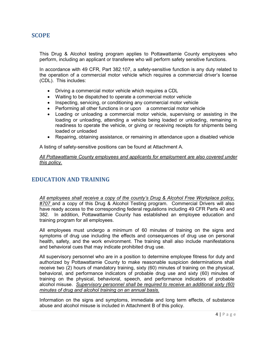## **SCOPE**

This Drug & Alcohol testing program applies to Pottawattamie County employees who perform, including an applicant or transferee who will perform safety sensitive functions.

In accordance with 49 CFR, Part 382.107, a safety-sensitive function is any duty related to the operation of a commercial motor vehicle which requires a commercial driver's license (CDL). This includes:

- Driving a commercial motor vehicle which requires a CDL
- Waiting to be dispatched to operate a commercial motor vehicle
- Inspecting, servicing, or conditioning any commercial motor vehicle
- Performing all other functions in or upon a commercial motor vehicle
- Loading or unloading a commercial motor vehicle, supervising or assisting in the loading or unloading, attending a vehicle being loaded or unloading, remaining in readiness to operate the vehicle, or giving or receiving receipts for shipments being loaded or unloaded
- Repairing, obtaining assistance, or remaining in attendance upon a disabled vehicle

A listing of safety-sensitive positions can be found at Attachment A.

*All Pottawattamie County employees and applicants for employment are also covered under this policy.*

## <span id="page-4-0"></span>**EDUCATION AND TRAINING**

*All employees shall receive a copy of the county's Drug & Alcohol Free Workplace policy, #707* and a copy of this Drug & Alcohol Testing program. Commercial Drivers will also have ready access to the corresponding federal regulations including 49 CFR Parts 40 and 382. In addition, Pottawattamie County has established an employee education and training program for all employees.

All employees must undergo a minimum of 60 minutes of training on the signs and symptoms of drug use including the effects and consequences of drug use on personal health, safety, and the work environment. The training shall also include manifestations and behavioral cues that may indicate prohibited drug use.

All supervisory personnel who are in a position to determine employee fitness for duty and authorized by Pottawattamie County to make reasonable suspicion determinations shall receive two (2) hours of mandatory training, sixty (60) minutes of training on the physical, behavioral, and performance indicators of probable drug use and sixty (60) minutes of training on the physical, behavioral, speech, and performance indicators of probable alcohol misuse. *Supervisory personnel shall be required to receive an additional sixty (60) minutes of drug and alcohol training on an annual basis.* 

Information on the signs and symptoms, immediate and long term effects, of substance abuse and alcohol misuse is included in Attachment B of this policy.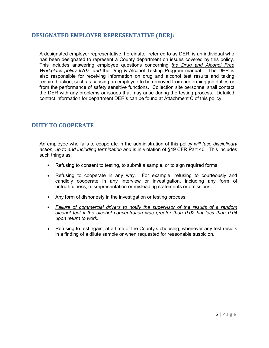## <span id="page-5-0"></span>**DESIGNATED EMPLOYER REPRESENTATIVE (DER):**

A designated employer representative, hereinafter referred to as DER, is an individual who has been designated to represent a County department on issues covered by this policy. This includes answering employee questions concerning *the Drug and Alcohol Free Workplace policy #707*, *and* the Drug & Alcohol Testing Program manual. The DER is also responsible for receiving information on drug and alcohol test results and taking required action, such as causing an employee to be removed from performing job duties or from the performance of safety sensitive functions. Collection site personnel shall contact the DER with any problems or issues that may arise during the testing process. Detailed contact information for department DER's can be found at Attachment C of this policy.

# <span id="page-5-1"></span>**DUTY TO COOPERATE**

An employee who fails to cooperate in the administration of this policy *will face disciplinary action, up to and including termination and* is in violation of §49 CFR Part 40. This includes such things as:

- Refusing to consent to testing, to submit a sample, or to sign required forms.
- Refusing to cooperate in any way. For example, refusing to courteously and candidly cooperate in any interview or investigation, including any form of untruthfulness, misrepresentation or misleading statements or omissions.
- Any form of dishonesty in the investigation or testing process.
- x *Failure of commercial drivers to notify the supervisor of the results of a random alcohol test if the alcohol concentration was greater than 0.02 but less than 0.04 upon return to work.*
- Refusing to test again, at a time of the County's choosing, whenever any test results in a finding of a dilute sample or when requested for reasonable suspicion.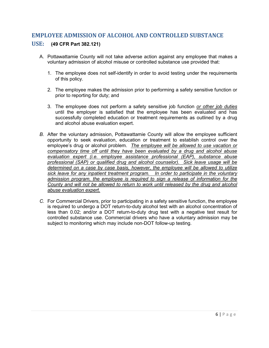## <span id="page-6-0"></span>**EMPLOYEE ADMISSION OF ALCOHOL AND CONTROLLED SUBSTANCE**

## **USE: (49 CFR Part 382.121)**

- A. Pottawattamie County will not take adverse action against any employee that makes a voluntary admission of alcohol misuse or controlled substance use provided that:
	- 1. The employee does not self-identify in order to avoid testing under the requirements of this policy.
	- 2. The employee makes the admission prior to performing a safety sensitive function or prior to reporting for duty; and
	- 3. The employee does not perform a safety sensitive job function *or other job duties* until the employer is satisfied that the employee has been evaluated and has successfully completed education or treatment requirements as outlined by a drug and alcohol abuse evaluation expert.
- *B.* After the voluntary admission, Pottawattamie County will allow the employee sufficient opportunity to seek evaluation, education or treatment to establish control over the employee's drug or alcohol problem. *The employee will be allowed to use vacation or compensatory time off until they have been evaluated by a drug and alcohol abuse evaluation expert (i.e. employee assistance professional (EAP), substance abuse professional (SAP) or qualified drug and alcohol counselor). Sick leave usage will be determined on a case by case basis, however, the employee will be allowed to utilize sick leave for any inpatient treatment program. In order to participate in the voluntary admission program, the employee is required to sign a release of information for the County and will not be allowed to return to work until released by the drug and alcohol abuse evaluation expert.*
- *C.* For Commercial Drivers, prior to participating in a safety sensitive function, the employee is required to undergo a DOT return-to-duty alcohol test with an alcohol concentration of less than 0.02; and/or a DOT return-to-duty drug test with a negative test result for controlled substance use. Commercial drivers who have a voluntary admission may be subject to monitoring which may include non-DOT follow-up testing.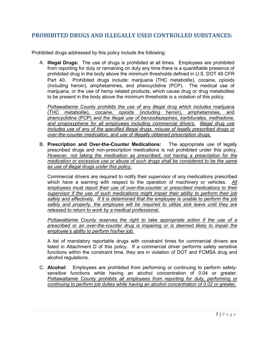# <span id="page-7-0"></span>**PROHIBITED DRUGS AND ILLEGALLY USED CONTROLLED SUBSTANCES:**

Prohibited drugs addressed by this policy include the following:

A. **Illegal Drugs:** The use of drugs is prohibited at all times. Employees are prohibited from reporting for duty or remaining on duty any time there is a quantifiable presence of prohibited drug in the body above the minimum thresholds defined in U.S. DOT 49 CFR Part 40. Prohibited drugs include: marijuana (THC metabolite), cocaine, opioids (including heroin), amphetamines, and phencyclidine (PCP). The medical use of marijuana, or the use of hemp related products, which cause drug or drug metabolites to be present in the body above the minimum thresholds is a violation of this policy.

*Pottawattamie County prohibits the use of any illegal drug which includes* marijuana (THC metabolite), cocaine, opioids (including heroin), amphetamines, and phencyclidine (PCP) *and the illegal use of benzodiazepines, barbiturates, methadone, and propoxyphene for all employees including commercial drivers. Illegal drug use includes use of any of the specified illegal drugs, misuse of legally prescribed drugs or over-the-counter medication, and use of illegally obtained prescription drugs.* 

B. **Prescription and Over-the-Counter Medications:** The appropriate use of legally prescribed drugs and non-prescription medications is not prohibited under this policy. *However, not taking the medication as prescribed; not having a prescription for the medication or excessive use or abuse of such drugs shall be considered to be the same as use of illegal drugs under this policy.* 

Commercial drivers are required to notify their supervisor of any medications prescribed which have a warning with respect to the operation of machinery or vehicles. *All employees must report their use of over-the-counter or prescribed medications to their supervisor if the use of such medications might impair their ability to perform their job safely and effectively. If it is determined that the employee is unable to perform the job safely and properly, the employee will be required to utilize sick leave until they are released to return to work by a medical professional.* 

*Pottawattamie County reserves the right to take appropriate action if the use of a prescribed or an over-the-counter drug is impairing or is deemed likely to impair the employee's ability to perform his/her job.* 

A list of mandatory reportable drugs with constraint times for commercial drivers are listed in Attachment D of this policy. If a commercial driver performs safety sensitive functions within the constraint time, they are in violation of DOT and FCMSA drug and alcohol regulations.

C. **Alcohol:** Employees are prohibited from performing or continuing to perform safetysensitive functions while having an alcohol concentration of 0.04 or greater. *Pottawattamie County prohibits all employees from reporting for duty, performing or continuing to perform job duties while having an alcohol concentration of 0.02 or greater.*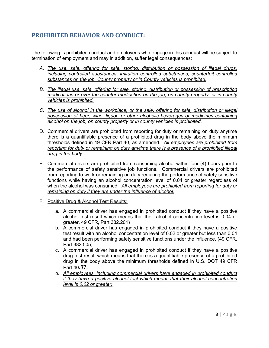# <span id="page-8-0"></span>**PROHIBITED BEHAVIOR AND CONDUCT:**

The following is prohibited conduct and employees who engage in this conduct will be subject to termination of employment and may in addition, suffer legal consequences:

- *A. The use, sale, offering for sale, storing, distribution or possession of illegal drugs, including controlled substances, imitation controlled substances, counterfeit controlled substances on the job, County property or in County vehicles is prohibited.*
- *B. The illegal use, sale, offering for sale, storing, distribution or possession of prescription medications or over-the-counter medication on the job, on county property, or in county vehicles is prohibited.*
- *C. The use of alcohol in the workplace, or the sale, offering for sale, distribution or illegal possession of beer, wine, liquor, or other alcoholic beverages or medicines containing alcohol on the job, on county property or in county vehicles is prohibited.*
- D. Commercial drivers are prohibited from reporting for duty or remaining on duty anytime there is a quantifiable presence of a prohibited drug in the body above the minimum thresholds defined in 49 CFR Part 40, as amended. *All employees are prohibited from reporting for duty or remaining on duty anytime there is a presence of a prohibited illegal drug in the body.*
- E. Commercial drivers are prohibited from consuming alcohol within four (4) hours prior to the performance of safety sensitive job functions. Commercial drivers are prohibited from reporting to work or remaining on duty requiring the performance of safety-sensitive functions while having an alcohol concentration level of 0.04 or greater regardless of when the alcohol was consumed. *All employees are prohibited from reporting for duty or remaining on duty if they are under the influence of alcohol.*
- F. Positive Drug & Alcohol Test Results:
	- a. A commercial driver has engaged in prohibited conduct if they have a positive alcohol test result which means that their alcohol concentration level is 0.04 or greater. 49 CFR, Part 382.201)
	- b. A commercial driver has engaged in prohibited conduct if they have a positive test result with an alcohol concentration level of 0.02 or greater but less than 0.04 and had been performing safety sensitive functions under the influence. (49 CFR, Part 382.505)
	- c. A commercial driver has engaged in prohibited conduct if they have a positive drug test result which means that there is a quantifiable presence of a prohibited drug in the body above the minimum thresholds defined in U.S. DOT 49 CFR Part 40.87.
	- *d. All employees, including commercial drivers have engaged in prohibited conduct if they have a positive alcohol test which means that their alcohol concentration level is 0.02 or greater.*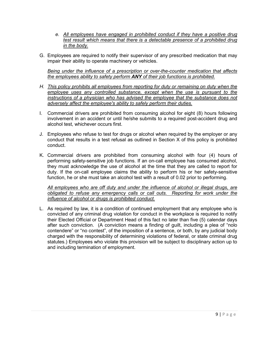- *e. All employees have engaged in prohibited conduct if they have a positive drug test result which means that there is a detectable presence of a prohibited drug in the body.*
- G. Employees are required to notify their supervisor of any prescribed medication that may impair their ability to operate machinery or vehicles.

*Being under the influence of a prescription or over-the-counter medication that affects the employees ability to safety perform ANY of their job functions is prohibited.* 

- *H. This policy prohibits all employees from reporting for duty or remaining on duty when the employee uses any controlled substance, except when the use is pursuant to the instructions of a physician who has advised the employee that the substance does not adversely affect the employee's ability to safely perform their duties.*
- I. Commercial drivers are prohibited from consuming alcohol for eight (8) hours following involvement in an accident or until he/she submits to a required post-accident drug and alcohol test, whichever occurs first.
- J. Employees who refuse to test for drugs or alcohol when required by the employer or any conduct that results in a test refusal as outlined in Section X of this policy is prohibited conduct.
- K. Commercial drivers are prohibited from consuming alcohol with four (4) hours of performing safety-sensitive job functions. If an on-call employee has consumed alcohol, they must acknowledge the use of alcohol at the time that they are called to report for duty. If the on-call employee claims the ability to perform his or her safety-sensitive function, he or she must take an alcohol test with a result of 0.02 prior to performing.

*All employees who are off duty and under the influence of alcohol or illegal drugs, are obligated to refuse any emergency calls or call outs. Reporting for work under the influence of alcohol or drugs is prohibited conduct.*

L. As required by law, it is a condition of continued employment that any employee who is convicted of any criminal drug violation for conduct in the workplace is required to notify their Elected Official or Department Head of this fact no later than five (5) calendar days after such conviction. (A conviction means a finding of guilt, including a plea of "nolo contendere" or "no contest", of the imposition of a sentence, or both, by any judicial body charged with the responsibility of determining violations of federal, or state criminal drug statutes.) Employees who violate this provision will be subject to disciplinary action up to and including termination of employment.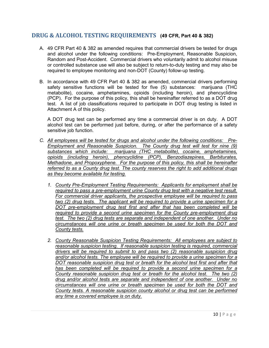## <span id="page-10-0"></span>**DRUG & ALCOHOL TESTING REQUIREMENTS (49 CFR, Part 40 & 382)**

- A. 49 CFR Part 40 & 382 as amended requires that commercial drivers be tested for drugs and alcohol under the following conditions: Pre-Employment, Reasonable Suspicion, Random and Post-Accident. Commercial drivers who voluntarily admit to alcohol misuse or controlled substance use will also be subject to return-to-duty testing and may also be required to employee monitoring and non-DOT (County) follow-up testing.
- B. In accordance with 49 CFR Part 40 & 382 as amended, commercial drivers performing safety sensitive functions will be tested for five (5) substances: marijuana (THC metabolite), cocaine, amphetamines, opioids (including heroin), and phencyclidine (PCP). For the purpose of this policy, this shall be hereinafter referred to as a DOT drug test. A list of job classifications required to participate in DOT drug testing is listed in Attachment A of this policy.

A DOT drug test can be performed any time a commercial driver is on duty. A DOT alcohol test can be performed just before, during, or after the performance of a safety sensitive job function.

- *C. All employees will be tested for drugs and alcohol under the following conditions: Pre-Employment and Reasonable Suspicion. The County drug test will test for nine (9) substances which include: marijuana (THC metabolite), cocaine, amphetamines, opioids (including heroin), phencyclidine (PCP), Benzodiazepines, Barbiturates, Methadone, and Propoxyphene. For the purpose of this policy, this shall be hereinafter referred to as a County drug test. The county reserves the right to add additional drugs as they become available for testing.*
	- *1. County Pre-Employment Testing Requirements: Applicants for employment shall be required to pass a pre-employment urine County drug test with a negative test result. For commercial driver applicants, the prospective employee will be required to pass two (2) drug tests. The applicant will be required to provide a urine specimen for a DOT pre-employment drug test first and after that has been completed will be required to provide a second urine specimen for the County pre-employment drug test. The two (2) drug tests are separate and independent of one another. Under no circumstances will one urine or breath specimen be used for both the DOT and County tests.*
	- *2. County Reasonable Suspicion Testing Requirements: All employees are subject to reasonable suspicion testing. If reasonable suspicion testing is required, commercial drivers will be required to submit to and pass two (2) reasonable suspicion drug and/or alcohol tests. The employee will be required to provide a urine specimen for a DOT reasonable suspicion drug test or breath for the alcohol test first and after that has been completed will be required to provide a second urine specimen for a County reasonable suspicion drug test or breath for the alcohol test. The two (2) drug and/or alcohol tests are separate and independent of one another. Under no circumstances will one urine or breath specimen be used for both the DOT and County tests. A reasonable suspicion county alcohol or drug test can be performed any time a covered employee is on duty.*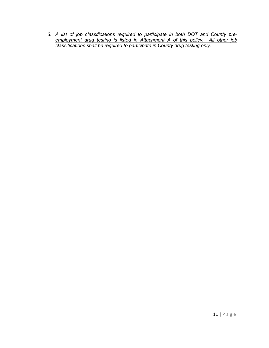*3. A list of job classifications required to participate in both DOT and County preemployment drug testing is listed in Attachment A of this policy. All other job classifications shall be required to participate in County drug testing only.*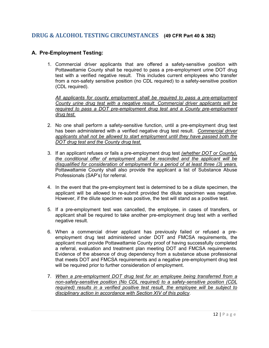## <span id="page-12-0"></span>**DRUG & ALCOHOL TESTING CIRCUMSTANCES (49 CFR Part 40 & 382)**

## <span id="page-12-1"></span>**A. Pre-Employment Testing:**

1. Commercial driver applicants that are offered a safety-sensitive position with Pottawattamie County shall be required to pass a pre-employment urine DOT drug test with a verified negative result. This includes current employees who transfer from a non-safety sensitive position (no CDL required) to a safety-sensitive position (CDL required).

*All applicants for county employment shall be required to pass a pre-employment County urine drug test with a negative result. Commercial driver applicants will be required to pass a DOT pre-employment drug test and a County pre-employment drug test.* 

- 2. No one shall perform a safety-sensitive function, until a pre-employment drug test has been administered with a verified negative drug test result. *Commercial driver applicants shall not be allowed to start employment until they have passed both the DOT drug test and the County drug test.*
- 3. If an applicant refuses or fails a pre-employment drug test *(whether DOT or County), the conditional offer of employment shall be rescinded and the applicant will be disqualified for consideration of employment for a period of at least three (3) years.* Pottawattamie County shall also provide the applicant a list of Substance Abuse Professionals (SAP's) for referral.
- 4. In the event that the pre-employment test is determined to be a dilute specimen, the applicant will be allowed to re-submit provided the dilute specimen was negative. However, if the dilute specimen was positive, the test will stand as a positive test.
- 5. If a pre-employment test was cancelled, the employee, in cases of transfers, or applicant shall be required to take another pre-employment drug test with a verified negative result.
- 6. When a commercial driver applicant has previously failed or refused a preemployment drug test administered under DOT and FMCSA requirements, the applicant must provide Pottawattamie County proof of having successfully completed a referral, evaluation and treatment plan meeting DOT and FMCSA requirements. Evidence of the absence of drug dependency from a substance abuse professional that meets DOT and FMCSA requirements and a negative pre-employment drug test will be required prior to further consideration of employment.
- 7. *When a pre-employment DOT drug test for an employee being transferred from a non-safety-sensitive position (No CDL required) to a safety-sensitive position (CDL required) results in a verified positive test result, the employee will be subject to disciplinary action in accordance with Section XIV of this policy*.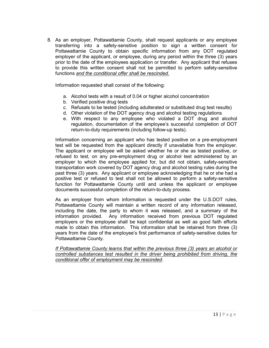8. As an employer, Pottawattamie County, shall request applicants or any employee transferring into a safety-sensitive position to sign a written consent for Pottawattamie County to obtain specific information from any DOT regulated employer of the applicant, or employee, during any period within the three (3) years prior to the date of the employees application or transfer. Any applicant that refuses to provide this written consent shall not be permitted to perform safety-sensitive functions *and the conditional offer shall be rescinded.*

Information requested shall consist of the following:

- a. Alcohol tests with a result of 0.04 or higher alcohol concentration
- b. Verified positive drug tests
- c. Refusals to be tested (including adulterated or substituted drug test results)
- d. Other violation of the DOT agency drug and alcohol testing regulations
- e. With respect to any employee who violated a DOT drug and alcohol regulation, documentation of the employee's successful completion of DOT return-to-duty requirements (including follow-up tests).

Information concerning an applicant who has tested positive on a pre-employment test will be requested from the applicant directly if unavailable from the employer. The applicant or employee will be asked whether he or she as tested positive, or refused to test, on any pre-employment drug or alcohol test administered by an employer to which the employee applied for, but did not obtain, safety-sensitive transportation work covered by DOT agency drug and alcohol testing rules during the past three (3) years. Any applicant or employee acknowledging that he or she had a positive test or refused to test shall not be allowed to perform a safety-sensitive function for Pottawattamie County until and unless the applicant or employee documents successful completion of the return-to-duty process.

As an employer from whom information is requested under the U.S.DOT rules, Pottawattamie County will maintain a written record of any information released, including the date, the party to whom it was released, and a summary of the information provided. Any information received from previous DOT regulated employers or the employee shall be kept confidential as well as good faith efforts made to obtain this information. This information shall be retained from three (3) years from the date of the employee's first performance of safety-sensitive duties for Pottawattamie County.

*If Pottawattamie County learns that within the previous three (3) years an alcohol or controlled substances test resulted in the driver being prohibited from driving, the conditional offer of employment may be rescinded.*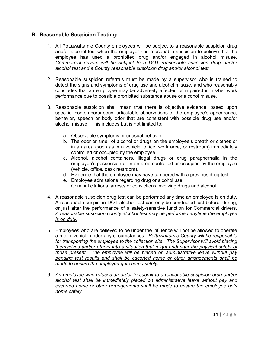## <span id="page-14-0"></span>**B. Reasonable Suspicion Testing:**

- 1. All Pottawattamie County employees will be subject to a reasonable suspicion drug and/or alcohol test when the employer has reasonable suspicion to believe that the employee has used a prohibited drug and/or engaged in alcohol misuse. *Commercial drivers will be subject to a DOT reasonable suspicion drug and/or alcohol test and a County reasonable suspicion drug and/or alcohol test.*
- 2. Reasonable suspicion referrals must be made by a supervisor who is trained to detect the signs and symptoms of drug use and alcohol misuse, and who reasonably concludes that an employee may be adversely affected or impaired in his/her work performance due to possible prohibited substance abuse or alcohol misuse.
- 3. Reasonable suspicion shall mean that there is objective evidence, based upon specific, contemporaneous, articulable observations of the employee's appearance, behavior, speech or body odor that are consistent with possible drug use and/or alcohol misuse. This includes but is not limited to:
	- a. Observable symptoms or unusual behavior.
	- b. The odor or smell of alcohol or drugs on the employee's breath or clothes or in an area (such as in a vehicle, office, work area, or restroom) immediately controlled or occupied by the employee.
	- c. Alcohol, alcohol containers, illegal drugs or drug paraphernalia in the employee's possession or in an area controlled or occupied by the employee (vehicle, office, desk restroom).
	- d. Evidence that the employee may have tampered with a previous drug test.
	- e. Employee admissions regarding drug or alcohol use.
	- f. Criminal citations, arrests or convictions involving drugs and alcohol.
- 4. A reasonable suspicion drug test can be performed any time an employee is on duty. A reasonable suspicion DOT alcohol test can only be conducted just before, during, or just after the performance of a safety-sensitive function for Commercial drivers. *A reasonable suspicion county alcohol test may be performed anytime the employee is on duty.*
- 5. Employees who are believed to be under the influence will not be allowed to operate a motor vehicle under any circumstances. *Pottawattamie County will be responsible for transporting the employee to the collection site. The Supervisor will avoid placing themselves and/or others into a situation that might endanger the physical safety of those present. The employee will be placed on administrative leave without pay pending test results and shall be escorted home or other arrangements shall be made to ensure the employee gets home safely.*
- 6. *An employee who refuses an order to submit to a reasonable suspicion drug and/or alcohol test shall be immediately placed on administrative leave without pay and escorted home or other arrangements shall be made to ensure the employee gets home safely.*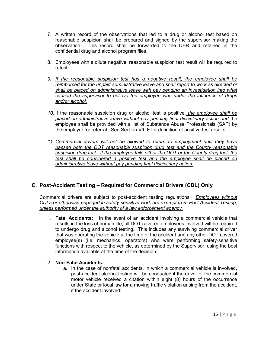- 7. A written record of the observations that led to a drug or alcohol test based on reasonable suspicion shall be prepared and signed by the supervisor making the observation. This record shall be forwarded to the DER and retained in the confidential drug and alcohol program files.
- 8. Employees with a dilute negative, reasonable suspicion test result will be required to retest.
- *9. If the reasonable suspicion test has a negative result, the employee shall be reimbursed for the unpaid administrative leave and shall report to work as directed or shall be placed on administrative leave with pay pending an investigation into what caused the supervisor to believe the employee was under the influence of drugs and/or alcohol.*
- *10.* If the reasonable suspicion drug or alcohol test is positive, *the employee shall be placed on administrative leave without pay pending final disciplinary action and* the employee shall be provided with a list of Substance Abuse Professionals (SAP) by the employer for referral. See Section VII, F for definition of positive test results.
- *11. Commercial drivers will not be allowed to return to employment until they have passed both the DOT reasonable suspicion drug test and the County reasonable suspicion drug test. If the employee fails either the DOT or the County drug test, the test shall be considered a positive test and the employee shall be placed on administrative leave without pay pending final disciplinary action.*

## <span id="page-15-0"></span>**C. Post-Accident Testing – Required for Commercial Drivers (CDL) Only**

Commercial drivers are subject to post-accident testing regulations. *Employees without CDLs or otherwise engaged in safety sensitive work are exempt from Post Accident Testing, unless performed under the authority of a law enforcement agency.*

1. **Fatal Accidents:** In the event of an accident involving a commercial vehicle that results in the loss of human life, all DOT covered employees involved will be required to undergo drug and alcohol testing. This includes any surviving commercial driver that was operating the vehicle at the time of the accident and any other DOT covered employee(s) (i.e. mechanics, operators) who were performing safety-sensitive functions with respect to the vehicle, as determined by the Supervisor, using the best information available at the time of the decision.

## 2. **Non-Fatal Accidents:**

a. In the case of nonfatal accidents, in which a commercial vehicle is involved, post-accident alcohol testing will be conducted if the driver of the commercial motor vehicle received a citation within eight (8) hours of the occurrence under State or local law for a moving traffic violation arising from the accident, if the accident involved: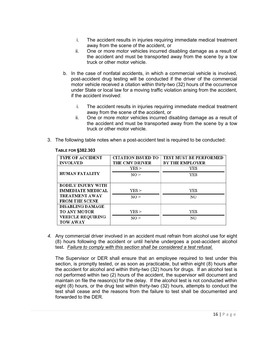- i. The accident results in injuries requiring immediate medical treatment away from the scene of the accident, or
- ii. One or more motor vehicles incurred disabling damage as a result of the accident and must be transported away from the scene by a tow truck or other motor vehicle.
- b. In the case of nonfatal accidents, in which a commercial vehicle is involved, post-accident drug testing will be conducted if the driver of the commercial motor vehicle received a citation within thirty-two (32) hours of the occurrence under State or local law for a moving traffic violation arising from the accident, if the accident involved:
	- i. The accident results in injuries requiring immediate medical treatment away from the scene of the accident, or
	- ii. One or more motor vehicles incurred disabling damage as a result of the accident and must be transported away from the scene by a tow truck or other motor vehicle.
- 3. The following table notes when a post-accident test is required to be conducted:

| <b>TYPE OF ACCIDENT</b><br><b>INVOLVED</b> | <b>CITATION ISSUED TO</b><br><b>THE CMV DRIVER</b> | <b>TEST MUST BE PERFORMED</b><br><b>BY THE EMPLOYER</b> |
|--------------------------------------------|----------------------------------------------------|---------------------------------------------------------|
|                                            | YES                                                | YES                                                     |
| <b>HUMAN FATALITY</b>                      | NO >                                               | YES                                                     |
| <b>BODILY INJURY WITH</b>                  |                                                    |                                                         |
| <b>IMMEDIATE MEDICAL</b>                   | YES >                                              | <b>YES</b>                                              |
| <b>TREATMENT AWAY</b>                      | NO >                                               | NO                                                      |
| <b>FROM THE SCENE</b>                      |                                                    |                                                         |
| <b>DISABLING DAMAGE</b>                    |                                                    |                                                         |
| <b>TO ANY MOTOR</b>                        | YES                                                | <b>YES</b>                                              |
| <b>VEHICLE REQUIRING</b>                   | NO >                                               | NO                                                      |
| <b>TOW AWAY</b>                            |                                                    |                                                         |

#### **TABLE FOR §382.303**

*4.* Any commercial driver involved in an accident must refrain from alcohol use for eight (8) hours following the accident or until he/she undergoes a post-accident alcohol test. *Failure to comply with this section shall be considered a test refusal.* 

The Supervisor or DER shall ensure that an employee required to test under this section, is promptly tested, or as soon as practicable, but within eight (8) hours after the accident for alcohol and within thirty-two (32) hours for drugs. If an alcohol test is not performed within two (2) hours of the accident, the supervisor will document and maintain on file the reason(s) for the delay. If the alcohol test is not conducted within eight (8) hours, or the drug test within thirty-two (32) hours, attempts to conduct the test shall cease and the reasons from the failure to test shall be documented and forwarded to the DER.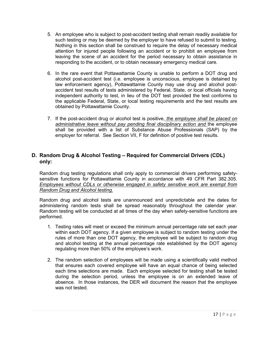- 5. An employee who is subject to post-accident testing shall remain readily available for such testing or may be deemed by the employer to have refused to submit to testing. Nothing in this section shall be construed to require the delay of necessary medical attention for injured people following an accident or to prohibit an employee from leaving the scene of an accident for the period necessary to obtain assistance in responding to the accident, or to obtain necessary emergency medical care.
- 6. In the rare event that Pottawattamie County is unable to perform a DOT drug and alcohol post-accident test (i.e. employee is unconscious, employee is detained by law enforcement agency), Pottawattamie County may use drug and alcohol postaccident test results of tests administered by Federal, State, or local officials having independent authority to test, in lieu of the DOT test provided the test conforms to the applicable Federal, State, or local testing requirements and the test results are obtained by Pottawattamie County.
- 7. If the post-accident drug or alcohol test is positive, *the employee shall be placed on administrative leave without pay pending final disciplinary action and* the employee shall be provided with a list of Substance Abuse Professionals (SAP) by the employer for referral. See Section VII, F for definition of positive test results.

## <span id="page-17-0"></span>**D. Random Drug & Alcohol Testing – Required for Commercial Drivers (CDL) only:**

Random drug testing regulations shall only apply to commercial drivers performing safetysensitive functions for Pottawattamie County in accordance with 49 CFR Part 382.305. *Employees without CDLs or otherwise engaged in safety sensitive work are exempt from Random Drug and Alcohol testing.*

Random drug and alcohol tests are unannounced and unpredictable and the dates for administering random tests shall be spread reasonably throughout the calendar year. Random testing will be conducted at all times of the day when safety-sensitive functions are performed.

- 1. Testing rates will meet or exceed the minimum annual percentage rate set each year within each DOT agency. If a given employee is subject to random testing under the rules of more than one DOT agency, the employee will be subject to random drug and alcohol testing at the annual percentage rate established by the DOT agency regulating more than 50% of the employee's work.
- 2. The random selection of employees will be made using a scientifically valid method that ensures each covered employee will have an equal chance of being selected each time selections are made. Each employee selected for testing shall be tested during the selection period, unless the employee is on an extended leave of absence. In those instances, the DER will document the reason that the employee was not tested.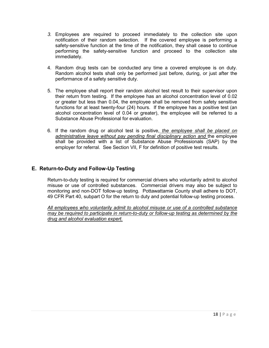- *3.* Employees are required to proceed immediately to the collection site upon notification of their random selection. If the covered employee is performing a safety-sensitive function at the time of the notification, they shall cease to continue performing the safety-sensitive function and proceed to the collection site immediately.
- 4. Random drug tests can be conducted any time a covered employee is on duty. Random alcohol tests shall only be performed just before, during, or just after the performance of a safety sensitive duty.
- 5. The employee shall report their random alcohol test result to their supervisor upon their return from testing. If the employee has an alcohol concentration level of 0.02 or greater but less than 0.04, the employee shall be removed from safety sensitive functions for at least twenty-four (24) hours. If the employee has a positive test (an alcohol concentration level of 0.04 or greater), the employee will be referred to a Substance Abuse Professional for evaluation.
- 6. If the random drug or alcohol test is positive, *the employee shall be placed on administrative leave without pay pending final disciplinary action and* the employee shall be provided with a list of Substance Abuse Professionals (SAP) by the employer for referral. See Section VII, F for definition of positive test results.

## <span id="page-18-0"></span>**E. Return-to-Duty and Follow-Up Testing**

Return-to-duty testing is required for commercial drivers who voluntarily admit to alcohol misuse or use of controlled substances. Commercial drivers may also be subject to monitoring and non-DOT follow-up testing. Pottawattamie County shall adhere to DOT, 49 CFR Part 40, subpart O for the return to duty and potential follow-up testing process.

*All employees who voluntarily admit to alcohol misuse or use of a controlled substance may be required to participate in return-to-duty or follow-up testing as determined by the drug and alcohol evaluation expert.*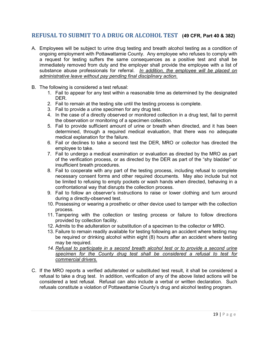## <span id="page-19-0"></span>**REFUSAL TO SUBMIT TO A DRUG OR ALCOHOL TEST (49 CFR, Part 40 & 382)**

- A. Employees will be subject to urine drug testing and breath alcohol testing as a condition of ongoing employment with Pottawattamie County. Any employee who refuses to comply with a request for testing suffers the same consequences as a positive test and shall be immediately removed from duty and the employer shall provide the employee with a list of substance abuse professionals for referral. *In addition, the employee will be placed on administrative leave without pay pending final disciplinary action.*
- B. The following is considered a test refusal:
	- 1. Fail to appear for any test within a reasonable time as determined by the designated DER.
	- 2. Fail to remain at the testing site until the testing process is complete.
	- 3. Fail to provide a urine specimen for any drug test.
	- 4. In the case of a directly observed or monitored collection in a drug test, fail to permit the observation or monitoring of a specimen collection.
	- 5. Fail to provide sufficient amount of urine or breath when directed, and it has been determined, through a required medical evaluation, that there was no adequate medical explanation for the failure.
	- 6. Fail or declines to take a second test the DER, MRO or collector has directed the employee to take.
	- 7. Fail to undergo a medical examination or evaluation as directed by the MRO as part of the verification process, or as directed by the DER as part of the "shy bladder" or insufficient breath procedures.
	- 8. Fail to cooperate with any part of the testing process, including refusal to complete necessary consent forms and other required documents. May also include but not be limited to refusing to empty pockets or wash hands when directed, behaving in a confrontational way that disrupts the collection process.
	- 9. Fail to follow an observer's instructions to raise or lower clothing and turn around during a directly-observed test.
	- 10. Possessing or wearing a prosthetic or other device used to tamper with the collection process.
	- 11. Tampering with the collection or testing process or failure to follow directions provided by collection facility.
	- 12. Admits to the adulteration or substitution of a specimen to the collector or MRO.
	- 13. Failure to remain readily available for testing following an accident where testing may be required or drinking alcohol within eight (8) hours after an accident where testing may be required.
	- *14. Refusal to participate in a second breath alcohol test or to provide a second urine specimen for the County drug test shall be considered a refusal to test for commercial drivers.*
- C. If the MRO reports a verified adulterated or substituted test result, it shall be considered a refusal to take a drug test. In addition, verification of any of the above listed actions will be considered a test refusal. Refusal can also include a verbal or written declaration. Such refusals constitute a violation of Pottawattamie County's drug and alcohol testing program.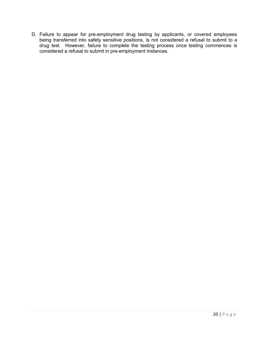D. Failure to appear for pre-employment drug testing by applicants, or covered employees being transferred into safety sensitive positions, is not considered a refusal to submit to a drug test. However, failure to complete the testing process once testing commences is considered a refusal to submit in pre-employment instances.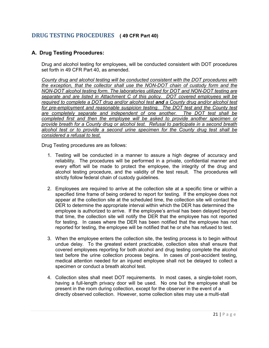## <span id="page-21-0"></span>**DRUG TESTING PROCEDURES ( 49 CFR Part 40)**

## <span id="page-21-1"></span>**A. Drug Testing Procedures:**

Drug and alcohol testing for employees, will be conducted consistent with DOT procedures set forth in 49 CFR Part 40, as amended.

*County drug and alcohol testing will be conducted consistent with the DOT procedures with the exception, that the collector shall use the NON-DOT chain of custody form and the NON-DOT alcohol testing form. The laboratories utilized for DOT and NON-DOT testing are separate and are listed in Attachment C of this policy. DOT covered employees will be required to complete a DOT drug and/or alcohol test and a County drug and/or alcohol test*  for pre-employment and reasonable suspicion testing. The DOT test and the County test *are completely separate and independent of one another. The DOT test shall be completed first and then the employee will be asked to provide another specimen or provide breath for a County drug or alcohol test. Refusal to participate in a second breath alcohol test or to provide a second urine specimen for the County drug test shall be considered a refusal to test.*

Drug Testing procedures are as follows:

- 1. Testing will be conducted in a manner to assure a high degree of accuracy and reliability. The procedures will be performed in a private, confidential manner and every effort will be made to protect the employee, the integrity of the drug and alcohol testing procedure, and the validity of the test result. The procedures will strictly follow federal chain of custody guidelines.
- 2. Employees are required to arrive at the collection site at a specific time or within a specified time frame of being ordered to report for testing. If the employee does not appear at the collection site at the scheduled time, the collection site will contact the DER to determine the appropriate interval within which the DER has determined the employee is authorized to arrive. If the employee's arrival has been delayed beyond that time, the collection site will notify the DER that the employee has not reported for testing. In cases where the DER has been notified that the employee has not reported for testing, the employee will be notified that he or she has refused to test.
- 3. When the employee enters the collection site, the testing process is to begin without undue delay. To the greatest extent practicable, collection sites shall ensure that covered employees reporting for both alcohol and drug testing complete the alcohol test before the urine collection process begins. In cases of post-accident testing, medical attention needed for an injured employee shall not be delayed to collect a specimen or conduct a breath alcohol test.
- 4. Collection sites shall meet DOT requirements. In most cases, a single-toilet room, having a full-length privacy door will be used. No one but the employee shall be present in the room during collection, except for the observer in the event of a directly observed collection. However, some collection sites may use a multi-stall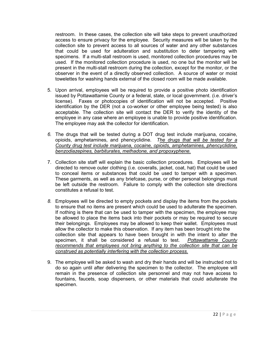restroom. In these cases, the collection site will take steps to prevent unauthorized access to ensure privacy for the employee. Security measures will be taken by the collection site to prevent access to all sources of water and any other substances that could be used for adulteration and substitution to deter tampering with specimens. If a multi-stall restroom is used, monitored collection procedures may be used. If the monitored collection procedure is used, no one but the monitor will be present in the multi-stall restroom during the collection, except for the monitor, or the observer in the event of a directly observed collection. A source of water or moist towelettes for washing hands external of the closed room will be made available.

- 5. Upon arrival, employees will be required to provide a positive photo identification issued by Pottawattamie County or a federal, state, or local government. (i.e. driver's license). Faxes or photocopies of identification will not be accepted. Positive identification by the DER (not a co-worker or other employee being tested) is also acceptable. The collection site will contact the DER to verify the identity of the employee in any case where an employee is unable to provide positive identification. The employee may ask the collector for identification.
- *6.* The drugs that will be tested during a DOT drug test include marijuana, cocaine, opioids, amphetamines, and phencyclidine. *The drugs that will be tested for a County drug test include marijuana, cocaine, opioids, amphetamines, phencyclidine, benzodiazepines, barbiturates, methadone, and propoxyphene.*
- 7. Collection site staff will explain the basic collection procedures. Employees will be directed to remove outer clothing (i.e. coveralls, jacket, coat, hat) that could be used to conceal items or substances that could be used to tamper with a specimen. These garments, as well as any briefcase, purse, or other personal belongings must be left outside the restroom. Failure to comply with the collection site directions constitutes a refusal to test.
- *8.* Employees will be directed to empty pockets and display the items from the pockets to ensure that no items are present which could be used to adulterate the specimen. If nothing is there that can be used to tamper with the specimen, the employee may be allowed to place the items back into their pockets or may be required to secure their belongings. Employees may be allowed to keep their wallet. Employees must allow the collector to make this observation. If any item has been brought into the collection site that appears to have been brought in with the intent to alter the specimen, it shall be considered a refusal to test. *Pottawattamie County recommends that employees not bring anything to the collection site that can be construed as potentially interfering with the collection process.*
- 9. The employee will be asked to wash and dry their hands and will be instructed not to do so again until after delivering the specimen to the collector. The employee will remain in the presence of collection site personnel and may not have access to fountains, faucets, soap dispensers, or other materials that could adulterate the specimen.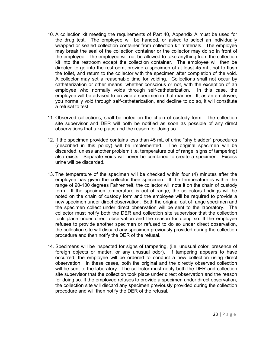- 10. A collection kit meeting the requirements of Part 40, Appendix A must be used for the drug test. The employee will be handed, or asked to select an individually wrapped or sealed collection container from collection kit materials. The employee may break the seal of the collection container or the collector may do so in front of the employee. The employee will not be allowed to take anything from the collection kit into the restroom except the collection container. The employee will then be directed to go into the restroom, provide a specimen of at least 45 mL, not to flush the toilet, and return to the collector with the specimen after completion of the void. A collector may set a reasonable time for voiding. Collections shall not occur by catheterization or other means, whether conscious or not, with the exception of an employee who normally voids through self-catheterization. In this case, the employee will be advised to provide a specimen in that manner. If, as an employee, you normally void through self-catheterization, and decline to do so, it will constitute a refusal to test.
- 11. Observed collections, shall be noted on the chain of custody form. The collection site supervisor and DER will both be notified as soon as possible of any direct observations that take place and the reason for doing so.
- 12. If the specimen provided contains less than 45 mL of urine "shy bladder" procedures (described in this policy) will be implemented. The original specimen will be discarded, unless another problem (i.e. temperature out of range, signs of tampering) also exists. Separate voids will never be combined to create a specimen. Excess urine will be discarded.
- 13. The temperature of the specimen will be checked within four (4) minutes after the employee has given the collector their specimen. If the temperature is within the range of 90-100 degrees Fahrenheit, the collector will note it on the chain of custody form. If the specimen temperature is out of range, the collectors findings will be noted on the chain of custody form and the employee will be required to provide a new specimen under direct observation. Both the original out of range specimen and the specimen collect under direct observation will be sent to the laboratory. The collector must notify both the DER and collection site supervisor that the collection took place under direct observation and the reason for doing so. If the employee refuses to provide another specimen or refused to do so under direct observation, the collection site will discard any specimen previously provided during the collection procedure and then notify the DER of the refusal.
- 14. Specimens will be inspected for signs of tampering, (i.e. unusual color, presence of foreign objects or matter, or any unusual odor). If tampering appears to have occurred, the employee will be ordered to conduct a new collection using direct observation. In these cases, both the original and the directly observed collection will be sent to the laboratory. The collector must notify both the DER and collection site supervisor that the collection took place under direct observation and the reason for doing so. If the employee refuses to provide a specimen under direct observation, the collection site will discard any specimen previously provided during the collection procedure and will then notify the DER of the refusal.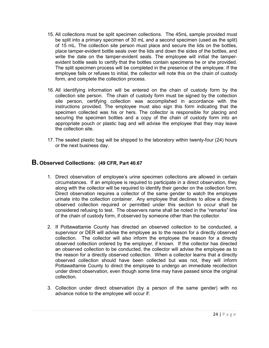- 15. All collections must be split specimen collections. The 45mL sample provided must be split into a primary specimen of 30 mL and a second specimen (used as the split) of 15 mL. The collection site person must place and secure the lids on the bottles, place tamper-evident bottle seals over the lids and down the sides of the bottles, and write the date on the tamper-evident seals. The employee will initial the tamperevident bottle seals to certify that the bottles contain specimens he or she provided. The split specimen process will be completed in the presence of the employee. If the employee fails or refuses to initial, the collector will note this on the chain of custody form, and complete the collection process.
- 16. All identifying information will be entered on the chain of custody form by the collection site person. The chain of custody form must be signed by the collection site person, certifying collection was accomplished in accordance with the instructions provided. The employee must also sign this form indicating that the specimen collected was his or hers. The collector is responsible for placing and securing the specimen bottles and a copy of the chain of custody form into an appropriate pouch or plastic bag and will advise the employee that they may leave the collection site.
- 17. The sealed plastic bag will be shipped to the laboratory within twenty-four (24) hours or the next business day.

## <span id="page-24-0"></span>**B. Observed Collections: (49 CFR, Part 40.67**

- 1. Direct observation of employee's urine specimen collections are allowed in certain circumstances. If an employee is required to participate in a direct observation, they along with the collector will be required to identify their gender on the collection form. Direct observation requires a collector of the same gender to watch the employee urinate into the collection container. Any employee that declines to allow a directly observed collection required or permitted under this section to occur shall be considered refusing to test. The observers name shall be noted in the "remarks" line of the chain of custody form, if observed by someone other than the collector.
- 2. If Pottawattamie County has directed an observed collection to be conducted, a supervisor or DER will advise the employee as to the reason for a directly observed collection. The collector will also inform the employee the reason for a directly observed collection ordered by the employer, if known. If the collector has directed an observed collection to be conducted, the collector will advise the employee as to the reason for a directly observed collection. When a collector learns that a directly observed collection should have been collected but was not, they will inform Pottawattamie County to direct the employee to undergo an immediate recollection under direct observation, even though some time may have passed since the original collection.
- 3. Collection under direct observation (by a person of the same gender) with no advance notice to the employee will occur if: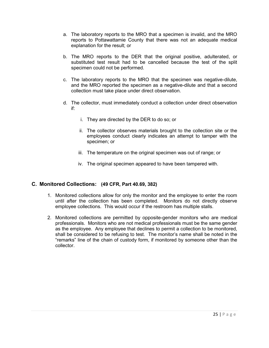- a. The laboratory reports to the MRO that a specimen is invalid, and the MRO reports to Pottawattamie County that there was not an adequate medical explanation for the result; or
- b. The MRO reports to the DER that the original positive, adulterated, or substituted test result had to be cancelled because the test of the split specimen could not be performed.
- c. The laboratory reports to the MRO that the specimen was negative-dilute, and the MRO reported the specimen as a negative-dilute and that a second collection must take place under direct observation.
- d. The collector, must immediately conduct a collection under direct observation if:
	- i. They are directed by the DER to do so; or
	- ii. The collector observes materials brought to the collection site or the employees conduct clearly indicates an attempt to tamper with the specimen; or
	- iii. The temperature on the original specimen was out of range; or
	- iv. The original specimen appeared to have been tampered with.

#### <span id="page-25-0"></span>**C. Monitored Collections: (49 CFR, Part 40.69, 382)**

- 1. Monitored collections allow for only the monitor and the employee to enter the room until after the collection has been completed. Monitors do not directly observe employee collections. This would occur if the restroom has multiple stalls.
- 2. Monitored collections are permitted by opposite-gender monitors who are medical professionals. Monitors who are not medical professionals must be the same gender as the employee. Any employee that declines to permit a collection to be monitored, shall be considered to be refusing to test. The monitor's name shall be noted in the "remarks" line of the chain of custody form, if monitored by someone other than the collector.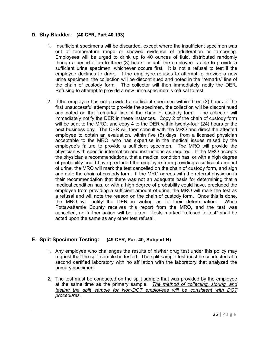## <span id="page-26-0"></span>**D. Shy Bladder: (40 CFR, Part 40.193)**

- 1. Insufficient specimens will be discarded, except where the insufficient specimen was out of temperature range or showed evidence of adulteration or tampering. Employees will be urged to drink up to 40 ounces of fluid, distributed randomly though a period of up to three (3) hours, or until the employee is able to provide a sufficient urine specimen, whichever occurs first. It is not a refusal to test if the employee declines to drink. If the employee refuses to attempt to provide a new urine specimen, the collection will be discontinued and noted in the "remarks" line of the chain of custody form. The collector will then immediately notify the DER. Refusing to attempt to provide a new urine specimen is refusal to test.
- 2. If the employee has not provided a sufficient specimen within three (3) hours of the first unsuccessful attempt to provide the specimen, the collection will be discontinued and noted on the "remarks" line of the chain of custody form. The collector will immediately notify the DER in these instances. Copy 2 of the chain of custody form will be sent to the MRO, and copy 4 to the DER within twenty-four (24) hours or the next business day. The DER will then consult with the MRO and direct the affected employee to obtain an evaluation, within five (5) days, from a licensed physician acceptable to the MRO, who has expertise in the medical issues raised by the employee's failure to provide a sufficient specimen. The MRO will provide the physician with specific information and instructions as required. If the MRO accepts the physician's recommendations, that a medical condition has, or with a high degree of probability could have precluded the employee from providing a sufficient amount of urine, the MRO will mark the test cancelled on the chain of custody form, and sign and date the chain of custody form. If the MRO agrees with the referral physician in their recommendation that there was not an adequate basis for determining that a medical condition has, or with a high degree of probability could have, precluded the employee from providing a sufficient amount of urine, the MRO will mark the test as a refusal and will note the reason on the chain of custody form. Once this is done, the MRO will notify the DER in writing as to their determination. When Pottawattamie County receives this report from the MRO, and the test was cancelled, no further action will be taken. Tests marked "refused to test" shall be acted upon the same as any other test refusal.

## <span id="page-26-1"></span>**E. Split Specimen Testing: (49 CFR, Part 40, Subpart H)**

- 1. Any employee who challenges the results of his/her drug test under this policy may request that the split sample be tested. The split sample test must be conducted at a second certified laboratory with no affiliation with the laboratory that analyzed the primary specimen.
- *2.* The test must be conducted on the split sample that was provided by the employee at the same time as the primary sample. *The method of collecting, storing, and testing the split sample for Non-DOT employees will be consistent with DOT procedures.*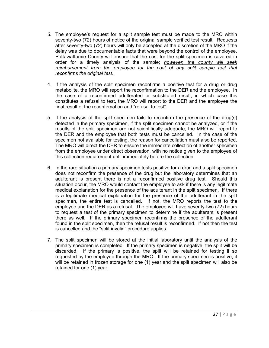- *3.* The employee's request for a split sample test must be made to the MRO within seventy-two (72) hours of notice of the original sample verified test result. Requests after seventy-two (72) hours will only be accepted at the discretion of the MRO if the delay was due to documentable facts that were beyond the control of the employee. Pottawattamie County will ensure that the cost for the split specimen is covered in order for a timely analysis of the sample; *however, the county will seek*  reimbursement from the employee for the cost of any split sample test that *reconfirms the original test.*
- 4. If the analysis of the split specimen reconfirms a positive test for a drug or drug metabolite, the MRO will report the reconfirmation to the DER and the employee. In the case of a reconfirmed adulterated or substituted result, in which case this constitutes a refusal to test, the MRO will report to the DER and the employee the final result of the reconfirmation and "refusal to test".
- 5. If the analysis of the split specimen fails to reconfirm the presence of the drug(s) detected in the primary specimen, if the split specimen cannot be analyzed, or if the results of the split specimen are not scientifically adequate, the MRO will report to the DER and the employee that both tests must be cancelled. In the case of the specimen not available for testing, the reason for cancellation must also be reported. The MRO will direct the DER to ensure the immediate collection of another specimen from the employee under direct observation, with no notice given to the employee of this collection requirement until immediately before the collection.
- 6. In the rare situation a primary specimen tests positive for a drug and a split specimen does not reconfirm the presence of the drug but the laboratory determines that an adulterant is present there is not a reconfirmed positive drug test. Should this situation occur, the MRO would contact the employee to ask if there is any legitimate medical explanation for the presence of the adulterant in the split specimen. If there is a legitimate medical explanation for the presence of the adulterant in the split specimen, the entire test is cancelled. If not, the MRO reports the test to the employee and the DER as a refusal. The employee will have seventy-two (72) hours to request a test of the primary specimen to determine if the adulterant is present there as well. If the primary specimen reconfirms the presence of the adulterant found in the split specimen, then the refusal result is reconfirmed. If not then the test is cancelled and the "split invalid" procedure applies.
- 7. The split specimen will be stored at the initial laboratory until the analysis of the primary specimen is completed. If the primary specimen is negative, the split will be discarded. If the primary is positive, the split will be retained for testing if so requested by the employee through the MRO. If the primary specimen is positive, it will be retained in frozen storage for one (1) year and the split specimen will also be retained for one (1) year.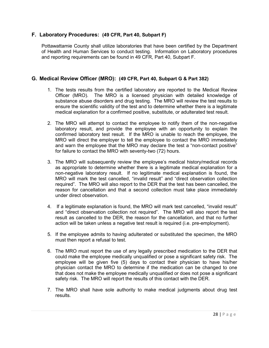## <span id="page-28-0"></span>**F. Laboratory Procedures: (49 CFR, Part 40, Subpart F)**

Pottawattamie County shall utilize laboratories that have been certified by the Department of Health and Human Services to conduct testing. Information on Laboratory procedures and reporting requirements can be found in 49 CFR, Part 40, Subpart F.

## <span id="page-28-1"></span>**G. Medical Review Officer (MRO): (49 CFR, Part 40, Subpart G & Part 382)**

- 1. The tests results from the certified laboratory are reported to the Medical Review Officer (MRO). The MRO is a licensed physician with detailed knowledge of substance abuse disorders and drug testing. The MRO will review the test results to ensure the scientific validity of the test and to determine whether there is a legitimate medical explanation for a confirmed positive, substitute, or adulterated test result.
- 2. The MRO will attempt to contact the employee to notify them of the non-negative laboratory result, and provide the employee with an opportunity to explain the confirmed laboratory test result. If the MRO is unable to reach the employee, the MRO will direct the employer to tell the employee to contact the MRO immediately and warn the employee that the MRO may declare the test a "non-contact positive" for failure to contact the MRO with seventy-two (72) hours.
- 3. The MRO will subsequently review the employee's medical history/medical records as appropriate to determine whether there is a legitimate medical explanation for a non-negative laboratory result. If no legitimate medical explanation is found, the MRO will mark the test cancelled, "invalid result" and "direct observation collection required". The MRO will also report to the DER that the test has been cancelled, the reason for cancellation and that a second collection must take place immediately under direct observation.
- 4. If a legitimate explanation is found, the MRO will mark test cancelled, "invalid result" and "direct observation collection not required". The MRO will also report the test result as cancelled to the DER, the reason for the cancellation, and that no further action will be taken unless a negative test result is required (i.e. pre-employment).
- 5. If the employee admits to having adulterated or substituted the specimen, the MRO must then report a refusal to test.
- 6. The MRO must report the use of any legally prescribed medication to the DER that could make the employee medically unqualified or pose a significant safety risk. The employee will be given five (5) days to contact their physician to have his/her physician contact the MRO to determine if the medication can be changed to one that does not make the employee medically unqualified or does not pose a significant safety risk. The MRO will report the results of this contact with the DER.
- 7. The MRO shall have sole authority to make medical judgments about drug test results.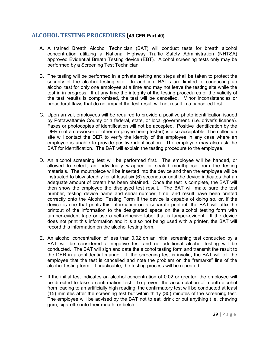## <span id="page-29-0"></span>**ALCOHOL TESTING PROCEDURES (49 CFR Part 40)**

- A. A trained Breath Alcohol Technician (BAT) will conduct tests for breath alcohol concentration utilizing a National Highway Traffic Safety Administration (NHTSA) approved Evidential Breath Testing device (EBT). Alcohol screening tests only may be performed by a Screening Test Technician.
- B. The testing will be performed in a private setting and steps shall be taken to protect the security of the alcohol testing site. In addition, BAT's are limited to conducting an alcohol test for only one employee at a time and may not leave the testing site while the test in in progress. If at any time the integrity of the testing procedures or the validity of the test results is compromised, the test will be cancelled. Minor inconsistencies or procedural flaws that do not impact the test result will not result in a cancelled test.
- C. Upon arrival, employees will be required to provide a positive photo identification issued by Pottawattamie County or a federal, state, or local government. (i.e. driver's license). Faxes or photocopies of identification will not be accepted. Positive identification by the DER (not a co-worker or other employee being tested) is also acceptable. The collection site will contact the DER to verify the identity of the employee in any case where an employee is unable to provide positive identification. The employee may also ask the BAT for identification. The BAT will explain the testing procedure to the employee.
- D. An alcohol screening test will be performed first. The employee will be handed, or allowed to select, an individually wrapped or sealed mouthpiece from the testing materials. The mouthpiece will be inserted into the device and then the employee will be instructed to blow steadily for at least six (6) seconds or until the device indicates that an adequate amount of breath has been obtained. Once the test is complete, the BAT will then show the employee the displayed test result. The BAT will make sure the test number, testing device name and serial number, time, and result have been printed correctly onto the Alcohol Testing Form if the device is capable of doing so, or, if the device is one that prints this information on a separate printout, the BAT will affix the printout of the information to the designated space on the alcohol testing form with tamper-evident tape or use a self-adhesive label that is tamper-evident. If the device does not print this information and it is also not being used with a printer, the BAT will record this information on the alcohol testing form.
- E. An alcohol concentration of less than 0.02 on an initial screening test conducted by a BAT will be considered a negative test and no additional alcohol testing will be conducted. The BAT will sign and date the alcohol testing form and transmit the result to the DER in a confidential manner. If the screening test is invalid, the BAT will tell the employee that the test is cancelled and note the problem on the "remarks" line of the alcohol testing form. If practicable, the testing process will be repeated.
- F. If the initial test indicates an alcohol concentration of 0.02 or greater, the employee will be directed to take a confirmation test. To prevent the accumulation of mouth alcohol from leading to an artificially high reading, the confirmatory test will be conducted at least (15) minutes after the screening test but within thirty (30) minutes of the screening test. The employee will be advised by the BAT not to eat, drink or put anything (i.e. chewing gum, cigarette) into their mouth, or belch.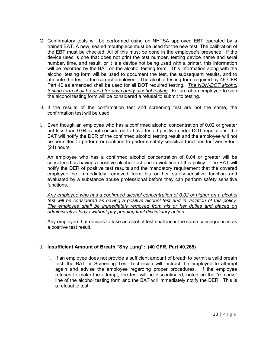- G. Confirmatory tests will be performed using an NHTSA approved EBT operated by a trained BAT. A new, sealed mouthpiece must be used for the new test. The calibration of the EBT must be checked. All of this must be done in the employee's presence. If the device used is one that does not print the test number, testing device name and seral number, time, and result, or it is a device not being used with a printer, this information will be recorded by the BAT on the alcohol testing form. This information along with the alcohol testing form will be used to document the test, the subsequent results, and to attribute the test to the correct employee. The alcohol testing form required by 49 CFR Part 40 as amended shall be used for all DOT required testing. *The NON-DOT alcohol testing form shall be used for any county alcohol testing.* Failure of an employee to sign the alcohol testing form will be considered a refusal to submit to testing.
- H. If the results of the confirmation test and screening test are not the same, the confirmation test will be used.
- I. Even though an employee who has a confirmed alcohol concentration of 0.02 or greater but less than 0.04 is not considered to have tested positive under DOT regulations, the BAT will notify the DER of the confirmed alcohol testing result and the employee will not be permitted to perform or continue to perform safety-sensitive functions for twenty-four (24) hours.

An employee who has a confirmed alcohol concentration of 0.04 or greater will be considered as having a positive alcohol test and in violation of this policy. The BAT will notify the DER of positive test results and the mandatory requirement that the covered employee be immediately removed from his or her safety-sensitive function and evaluated by a substance abuse professional before they can perform safety sensitive functions.

*Any employee who has a confirmed alcohol concentration of 0.02 or higher on a alcohol test will be considered as having a positive alcohol test and in violation of this policy. The employee shall be immediately removed from his or her duties and placed on administrative leave without pay pending final disciplinary action.* 

Any employee that refuses to take an alcohol test shall incur the same consequences as a positive test result.

#### J. **Insufficient Amount of Breath "Shy Lung": (40 CFR, Part 40.265)**

1. If an employee does not provide a sufficient amount of breath to permit a valid breath test, the BAT or Screening Test Technician will instruct the employee to attempt again and advise the employee regarding proper procedures. If the employee refuses to make the attempt, the test will be discontinued, noted on the "remarks" line of the alcohol testing form and the BAT will immediately notify the DER. This is a refusal to test.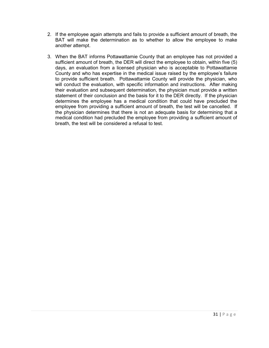- 2. If the employee again attempts and fails to provide a sufficient amount of breath, the BAT will make the determination as to whether to allow the employee to make another attempt.
- 3. When the BAT informs Pottawattamie County that an employee has not provided a sufficient amount of breath, the DER will direct the employee to obtain, within five (5) days, an evaluation from a licensed physician who is acceptable to Pottawattamie County and who has expertise in the medical issue raised by the employee's failure to provide sufficient breath. Pottawattamie County will provide the physician, who will conduct the evaluation, with specific information and instructions. After making their evaluation and subsequent determination, the physician must provide a written statement of their conclusion and the basis for it to the DER directly. If the physician determines the employee has a medical condition that could have precluded the employee from providing a sufficient amount of breath, the test will be cancelled. If the physician determines that there is not an adequate basis for determining that a medical condition had precluded the employee from providing a sufficient amount of breath, the test will be considered a refusal to test.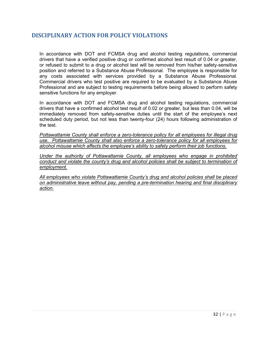## <span id="page-32-0"></span>**DISCIPLINARY ACTION FOR POLICY VIOLATIONS**

In accordance with DOT and FCMSA drug and alcohol testing regulations, commercial drivers that have a verified positive drug or confirmed alcohol test result of 0.04 or greater, or refused to submit to a drug or alcohol test will be removed from his/her safety-sensitive position and referred to a Substance Abuse Professional. The employee is responsible for any costs associated with services provided by a Substance Abuse Professional. Commercial drivers who test positive are required to be evaluated by a Substance Abuse Professional and are subject to testing requirements before being allowed to perform safety sensitive functions for any employer.

In accordance with DOT and FCMSA drug and alcohol testing regulations, commercial drivers that have a confirmed alcohol test result of 0.02 or greater, but less than 0.04, will be immediately removed from safety-sensitive duties until the start of the employee's next scheduled duty period, but not less than twenty-four (24) hours following administration of the test.

*Pottawattamie County shall enforce a zero-tolerance policy for all employees for illegal drug use. Pottawattamie County shall also enforce a zero-tolerance policy for all employees for alcohol misuse which affects the employee's ability to safety perform their job functions.* 

*Under the authority of Pottawattamie County, all employees who engage in prohibited conduct and violate the county's drug and alcohol policies shall be subject to termination of employment.*

*All employees who violate Pottawattamie County's drug and alcohol policies shall be placed on administrative leave without pay, pending a pre-termination hearing and final disciplinary action.*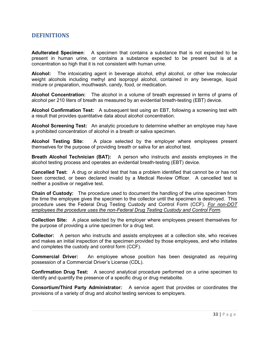## <span id="page-33-0"></span>**DEFINITIONS**

**Adulterated Specimen**: A specimen that contains a substance that is not expected to be present in human urine, or contains a substance expected to be present but is at a concentration so high that it is not consistent with human urine.

**Alcohol:** The intoxicating agent in beverage alcohol, ethyl alcohol, or other low molecular weight alcohols including methyl and isopropyl alcohol, contained in any beverage, liquid mixture or preparation, mouthwash, candy, food, or medication.

**Alcohol Concentration:** The alcohol in a volume of breath expressed in terms of grams of alcohol per 210 liters of breath as measured by an evidential breath-testing (EBT) device.

**Alcohol Confirmation Test:** A subsequent test using an EBT, following a screening test with a result that provides quantitative data about alcohol concentration.

**Alcohol Screening Test:** An analytic procedure to determine whether an employee may have a prohibited concentration of alcohol in a breath or saliva specimen.

**Alcohol Testing Site:** A place selected by the employer where employees present themselves for the purpose of providing breath or saliva for an alcohol test.

**Breath Alcohol Technician (BAT):** A person who instructs and assists employees in the alcohol testing process and operates an evidential breath-testing (EBT) device.

**Cancelled Test:** A drug or alcohol test that has a problem identified that cannot be or has not been corrected, or been declared invalid by a Medical Review Officer. A cancelled test is neither a positive or negative test.

**Chain of Custody:** The procedure used to document the handling of the urine specimen from the time the employee gives the specimen to the collector until the specimen is destroyed. This procedure uses the Federal Drug Testing Custody and Control Form (CCF). *For non-DOT employees the procedure uses the non-Federal Drug Testing Custody and Control Form.* 

**Collection Site:** A place selected by the employer where employees present themselves for the purpose of providing a urine specimen for a drug test.

**Collector:** A person who instructs and assists employees at a collection site, who receives and makes an initial inspection of the specimen provided by those employees, and who initiates and completes the custody and control form (CCF).

**Commercial Driver:** An employee whose position has been designated as requiring possession of a Commercial Driver's License (CDL).

**Confirmation Drug Test:** A second analytical procedure performed on a urine specimen to identify and quantify the presence of a specific drug or drug metabolite.

**Consortium/Third Party Administrator:** A service agent that provides or coordinates the provisions of a variety of drug and alcohol testing services to employers.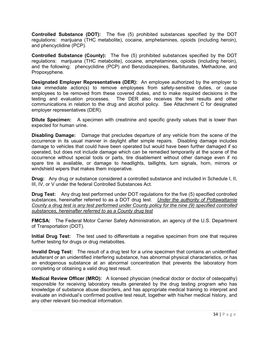**Controlled Substance (DOT):** The five (5) prohibited substances specified by the DOT regulations: marijuana (THC metabolite), cocaine, amphetamines, opioids (including heroin), and phencyclidine (PCP).

**Controlled Substance (County):** The five (5) prohibited substances specified by the DOT regulations: marijuana (THC metabolite), cocaine, amphetamines, opioids (including heroin), and the following: phencyclidine (PCP) and Benzodiazepines, Barbiturates, Methadone, and Propoxyphene.

**Designated Employer Representatives (DER):** An employee authorized by the employer to take immediate action(s) to remove employees from safety-sensitive duties, or cause employees to be removed from these covered duties, and to make required decisions in the testing and evaluation processes. The DER also receives the test results and other communications in relation to the drug and alcohol policy. See Attachment C for designated employer representatives (DER).

**Dilute Specimen:** A specimen with creatinine and specific gravity values that is lower than expected for human urine.

**Disabling Damage:** Damage that precludes departure of any vehicle from the scene of the occurrence in its usual manner in daylight after simple repairs. Disabling damage includes damage to vehicles that could have been operated but would have been further damaged if so operated, but does not include damage which can be remedied temporarily at the scene of the occurrence without special tools or parts, tire disablement without other damage even if no spare tire is available, or damage to headlights, taillights, turn signals, horn, mirrors or windshield wipers that makes them inoperative.

**Drug:** Any drug or substance considered a controlled substance and included in Schedule I, II, III, IV, or V under the federal Controlled Substances Act.

**Drug Test:** Any drug test performed under DOT regulations for the five (5) specified controlled substances, hereinafter referred to as a DOT drug test. *Under the authority of Pottawattamie County a drug test is any test performed under County policy for the nine (9) specified controlled substances, hereinafter referred to as a County drug test*

**FMCSA:** The Federal Motor Carrier Safety Administration, an agency of the U.S. Department of Transportation (DOT).

**Initial Drug Test:** The test used to differentiate a negative specimen from one that requires further testing for drugs or drug metabolites.

**Invalid Drug Test:** The result of a drug test for a urine specimen that contains an unidentified adulterant or an unidentified interfering substance, has abnormal physical characteristics, or has an endogenous substance at an abnormal concentration that prevents the laboratory from completing or obtaining a valid drug test result.

**Medical Review Officer (MRO):** A licensed physician (medical doctor or doctor of osteopathy) responsible for receiving laboratory results generated by the drug testing program who has knowledge of substance abuse disorders, and has appropriate medical training to interpret and evaluate an individual's confirmed positive test result, together with his/her medical history, and any other relevant bio-medical information.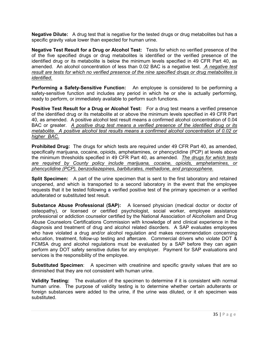**Negative Dilute:** A drug test that is negative for the tested drugs or drug metabolites but has a specific gravity value lower than expected for human urine.

**Negative Test Result for a Drug or Alcohol Test:** Tests for which no verified presence of the of the five specified drugs or drug metabolites is identified or the verified presence of the identified drug or its metabolite is below the minimum levels specified in 49 CFR Part 40, as amended. An alcohol concentration of less than 0.02 BAC is a negative test. *A negative test result are tests for which no verified presence of the nine specified drugs or drug metabolites is identified.* 

**Performing a Safety-Sensitive Function:** An employee is considered to be performing a safety-sensitive function and includes any period in which he or she is actually performing, ready to perform, or immediately available to perform such functions.

**Positive Test Result for a Drug or Alcohol Test:** For a drug test means a verified presence of the identified drug or its metabolite at or above the minimum levels specified in 49 CFR Part 40, as amended. A positive alcohol test result means a confirmed alcohol concentration of 0.04 BAC or greater. *A positive drug test means a verified presence of the identified drug or its metabolite. A positive alcohol test results means a confirmed alcohol concentration of 0.02 or higher BAC.*

**Prohibited Drug:** The drugs for which tests are required under 49 CFR Part 40, as amended, specifically marijuana, cocaine, opioids, amphetamines, or phencyclidine (PCP) at levels above the minimum thresholds specified in 49 CFR Part 40, as amended. *The drugs for which tests are required by County policy include marijuana, cocaine, opioids, amphetamines, or phencyclidine (PCP), benzodiazepines, barbiturates, methadone, and propoxyphene.*

**Split Specimen:** A part of the urine specimen that is sent to the first laboratory and retained unopened, and which is transported to a second laboratory in the event that the employee requests that it be tested following a verified positive test of the primary specimen or a verified adulterated or substituted test result.

**Substance Abuse Professional (SAP):** A licensed physician (medical doctor or doctor of osteopathy), or licensed or certified psychologist, social worker, employee assistance professional or addiction counselor certified by the National Association of Alcoholism and Drug Abuse Counselors Certifications Commission with knowledge of and clinical experience in the diagnosis and treatment of drug and alcohol related disorders. A SAP evaluates employees who have violated a drug and/or alcohol regulation and makes recommendation concerning education, treatment, follow-up testing and aftercare. Commercial drivers who violate DOT & FCMSA drug and alcohol regulations must be evaluated by a SAP before they can again perform any DOT safety sensitive duties for any employer. Payment for SAP evaluations and services is the responsibility of the employee.

**Substituted Specimen**: A specimen with creatinine and specific gravity values that are so diminished that they are not consistent with human urine.

**Validity Testing:** The evaluation of the specimen to determine if it is consistent with normal human urine. The purpose of validity testing is to determine whether certain adulterants or foreign substances were added to the urine, if the urine was diluted, or it eh specimen was substituted.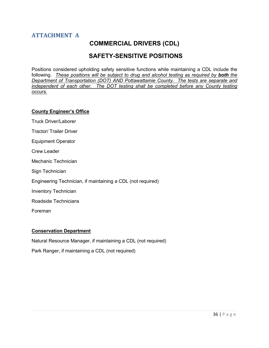# <span id="page-36-0"></span>**ATTACHMENT A**

# **COMMERCIAL DRIVERS (CDL)**

# **SAFETY-SENSITIVE POSITIONS**

<span id="page-36-1"></span>Positions considered upholding safety sensitive functions while maintaining a CDL include the following. *These positions will be subject to drug and alcohol testing as required by both the Department of Transportation (DOT) AND Pottawattamie County. The tests are separate and independent of each other. The DOT testing shall be completed before any County testing occurs.*

#### **County Engineer's Office**

Truck Driver/Laborer

Tractor/ Trailer Driver

Equipment Operator

Crew Leader

Mechanic Technician

Sign Technician

Engineering Technician, if maintaining a CDL (not required)

Inventory Technician

Roadside Technicians

Foreman

#### **Conservation Department**

Natural Resource Manager, if maintaining a CDL (not required)

Park Ranger, if maintaining a CDL (not required)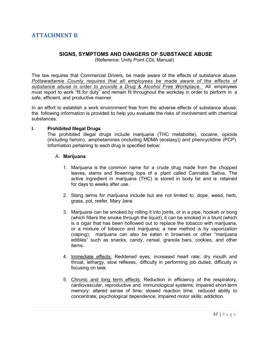# <span id="page-37-1"></span><span id="page-37-0"></span>**ATTACHMENT B**

## **SIGNS, SYMPTOMS AND DANGERS OF SUBSTANCE ABUSE**

(Reference: Unity Point CDL Manual)

The law requires that Commercial Drivers, be made aware of the effects of substance abuse. *Pottawattamie County requires that all employees be made aware of the effects of substance abuse in order to provide a Drug & Alcohol Free Workplace.* All employees must report to work "fit for duty" and remain fit throughout the workday in order to perform in a safe, efficient, and productive manner.

In an effort to establish a work environment free from the adverse effects of substance abuse, the following information is provided to help you evaluate the risks of involvement with chemical substances.

#### **I. Prohibited Illegal Drugs**

The prohibited illegal drugs include marijuana (THC metabolite), cocaine, opioids (including heroin), amphetamines (including MDMA (ecstasy)) and phencyclidine (PCP). Information pertaining to each drug is specified below:

#### A. **Marijuana**

- 1. Marijuana is the common name for a crude drug made from the chopped leaves, stems and flowering tops of a plant called Cannabis Sativa. The active ingredient in marijuana (THC) is stored in body fat and is retained for days to weeks after use.
- 2. Slang terms for marijuana include but are not limited to: dope, weed, herb, grass, pot, reefer, Mary Jane.
- 3. Marijuana can be smoked by rolling it into joints, or in a pipe, hookah or bong (which filters the smoke through the liquid); it can be smoked in a blunt (which is a cigar that has been hollowed out to replace the tobacco with marijuana, or a mixture of tobacco and marijuana; a new method is by vaporization (vaping); marijuana can also be eaten in brownies or other "marijuana edibles" such as snacks, candy, cereal, granola bars, cookies, and other items.
- 4. Immediate effects: Reddened eyes; increased heart rate; dry mouth and throat, lethargy, slow reflexes, difficulty in performing job duties, difficulty in focusing on task.
- 5. Chronic and long term effects: Reduction in efficiency of the respiratory, cardiovascular, reproductive and immunological systems; impaired short-term memory; altered sense of time; slowed reaction time; reduced ability to concentrate; psychological dependence; impaired motor skills; addiction.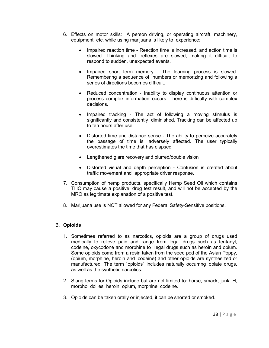- 6. Effects on motor skills: A person driving, or operating aircraft, machinery, equipment, etc, while using marijuana is likely to experience:
	- Impaired reaction time Reaction time is increased, and action time is slowed. Thinking and reflexes are slowed, making it difficult to respond to sudden, unexpected events.
	- Impaired short term memory The learning process is slowed. Remembering a sequence of numbers or memorizing and following a series of directions becomes difficult.
	- Reduced concentration Inability to display continuous attention or process complex information occurs. There is difficulty with complex decisions.
	- Impaired tracking The act of following a moving stimulus is significantly and consistently diminished. Tracking can be affected up to ten hours after use.
	- Distorted time and distance sense The ability to perceive accurately the passage of time is adversely affected. The user typically overestimates the time that has elapsed.
	- Lengthened glare recovery and blurred/double vision
	- Distorted visual and depth perception Confusion is created about traffic movement and appropriate driver response.
- 7. Consumption of hemp products, specifically Hemp Seed Oil which contains THC may cause a positive drug test result, and will not be accepted by the MRO as legitimate explanation of a positive test.
- 8. Marijuana use is NOT allowed for any Federal Safety-Sensitive positions.

## B. **Opioids**

- 1. Sometimes referred to as narcotics, opioids are a group of drugs used medically to relieve pain and range from legal drugs such as fentanyl, codeine, oxycodone and morphine to illegal drugs such as heroin and opium. Some opioids come from a resin taken from the seed pod of the Asian Poppy, (opium, morphine, heroin and codeine) and other opioids are synthesized or manufactured. The term "opioids" includes naturally occurring opiate drugs, as well as the synthetic narcotics.
- 2. Slang terms for Opioids include but are not limited to: horse, smack, junk, H, morpho, dollies, heroin, opium, morphine, codeine.
- 3. Opioids can be taken orally or injected, it can be snorted or smoked.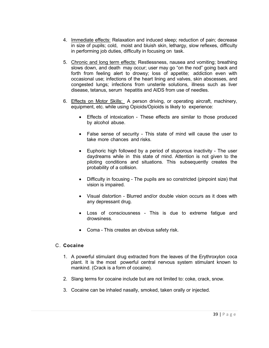- 4. Immediate effects: Relaxation and induced sleep; reduction of pain; decrease in size of pupils; cold, moist and bluish skin, lethargy, slow reflexes, difficulty in performing job duties, difficulty in focusing on task.
- 5. Chronic and long term effects: Restlessness, nausea and vomiting; breathing slows down, and death may occur; user may go "on the nod" going back and forth from feeling alert to drowsy; loss of appetite; addiction even with occasional use; infections of the heart lining and valves, skin abscesses, and congested lungs; infections from unsterile solutions, illness such as liver disease, tetanus, serum hepatitis and AIDS from use of needles.
- 6. Effects on Motor Skills: A person driving, or operating aircraft, machinery, equipment, etc. while using Opioids/Opioids is likely to experience:
	- Effects of intoxication These effects are similar to those produced by alcohol abuse.
	- False sense of security This state of mind will cause the user to take more chances and risks.
	- Euphoric high followed by a period of stuporous inactivity The user daydreams while in this state of mind. Attention is not given to the piloting conditions and situations. This subsequently creates the probability of a collision.
	- Difficulty in focusing The pupils are so constricted (pinpoint size) that vision is impaired.
	- Visual distortion Blurred and/or double vision occurs as it does with any depressant drug.
	- Loss of consciousness This is due to extreme fatigue and drowsiness.
	- Coma This creates an obvious safety risk.

## C. **Cocaine**

- 1. A powerful stimulant drug extracted from the leaves of the Erythroxylon coca plant. It is the most powerful central nervous system stimulant known to mankind. (Crack is a form of cocaine).
- 2. Slang terms for cocaine include but are not limited to: coke, crack, snow.
- 3. Cocaine can be inhaled nasally, smoked, taken orally or injected.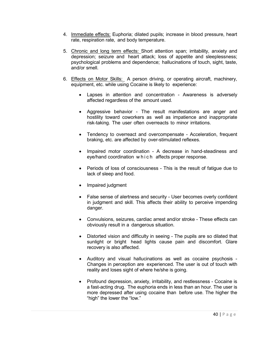- 4. Immediate effects: Euphoria; dilated pupils; increase in blood pressure, heart rate, respiration rate, and body temperature.
- 5. Chronic and long term effects: Short attention span; irritability, anxiety and depression; seizure and heart attack; loss of appetite and sleeplessness; psychological problems and dependence; hallucinations of touch, sight, taste, and/or smell.
- 6. Effects on Motor Skills: A person driving, or operating aircraft, machinery, equipment, etc. while using Cocaine is likely to experience:
	- Lapses in attention and concentration Awareness is adversely affected regardless of the amount used.
	- Aggressive behavior The result manifestations are anger and hostility toward coworkers as well as impatience and inappropriate risk-taking. The user often overreacts to minor irritations.
	- Tendency to overreact and overcompensate Acceleration, frequent braking, etc. are affected by over-stimulated reflexes.
	- Impaired motor coordination A decrease in hand-steadiness and eye/hand coordination which affects proper response.
	- Periods of loss of consciousness This is the result of fatigue due to lack of sleep and food.
	- Impaired judgment
	- False sense of alertness and security User becomes overly confident in judgment and skill. This affects their ability to perceive impending danger.
	- Convulsions, seizures, cardiac arrest and/or stroke These effects can obviously result in a dangerous situation.
	- Distorted vision and difficulty in seeing The pupils are so dilated that sunlight or bright head lights cause pain and discomfort. Glare recovery is also affected.
	- Auditory and visual hallucinations as well as cocaine psychosis -Changes in perception are experienced. The user is out of touch with reality and loses sight of where he/she is going.
	- Profound depression, anxiety, irritability, and restlessness Cocaine is a fast-acting drug. The euphoria ends in less than an hour. The user is more depressed after using cocaine than before use. The higher the "high" the lower the "low."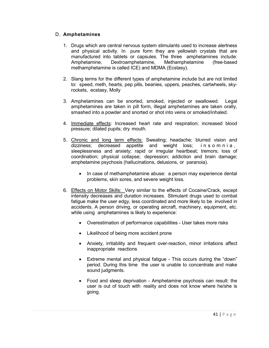## D. **Amphetamines**

- 1. Drugs which are central nervous system stimulants used to increase alertness and physical activity. In pure form they are yellowish crystals that are manufactured into tablets or capsules. The three amphetamines include: Amphetamine, Dextroamphetamine, Methamphetamine (free-based methamphetamine is called ICE) and MDMA (Ecstasy).
- 2. Slang terms for the different types of amphetamine include but are not limited to: speed, meth, hearts, pep pills, beanies, uppers, peaches, cartwheels, skyrockets, ecstasy, Molly
- 3. Amphetamines can be snorted, smoked, injected or swallowed. Legal amphetamines are taken in pill form, illegal amphetamines are taken orally, smashed into a powder and snorted or shot into veins or smoked/inhaled.
- 4. Immediate effects: Increased heart rate and respiration; increased blood pressure; dilated pupils; dry mouth.
- 5. Chronic and long term effects: Sweating; headache; blurred vision and dizziness; decreased appetite and weight loss; insomnia, sleeplessness and anxiety; rapid or irregular heartbeat; tremors; loss of coordination; physical collapse; depression; addiction and brain damage; amphetamine psychosis (hallucinations, delusions, or paranoia).
	- In case of methamphetamine abuse: a person may experience dental problems, skin sores, and severe weight loss.
- 6. Effects on Motor Skills: Very similar to the effects of Cocaine/Crack, except intensity decreases and duration increases. Stimulant drugs used to combat fatigue make the user edgy, less coordinated and more likely to be involved in accidents. A person driving, or operating aircraft, machinery, equipment, etc. while using amphetamines is likely to experience:
	- Overestimation of performance capabilities User takes more risks
	- Likelihood of being more accident prone
	- Anxiety, irritability and frequent over-reaction, minor irritations affect inappropriate reactions
	- Extreme mental and physical fatigue This occurs during the "down" period. During this time the user is unable to concentrate and make sound judgments.
	- Food and sleep deprivation Amphetamine psychosis can result: the user is out of touch with reality and does not know where he/she is going.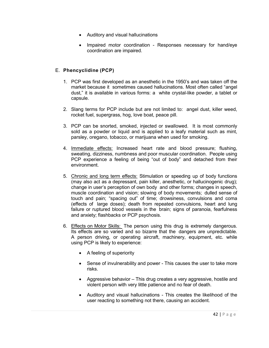- Auditory and visual hallucinations
- Impaired motor coordination Responses necessary for hand/eye coordination are impaired.

## E. **Phencyclidine (PCP)**

- 1. PCP was first developed as an anesthetic in the 1950's and was taken off the market because it sometimes caused hallucinations. Most often called "angel dust," it is available in various forms: a white crystal-like powder, a tablet or capsule.
- 2. Slang terms for PCP include but are not limited to: angel dust, killer weed, rocket fuel, supergrass, hog, love boat, peace pill.
- 3. PCP can be snorted, smoked, injected or swallowed. It is most commonly sold as a powder or liquid and is applied to a leafy material such as mint, parsley, oregano, tobacco, or marijuana when used for smoking.
- 4. Immediate effects: Increased heart rate and blood pressure; flushing, sweating, dizziness, numbness and poor muscular coordination. People using PCP experience a feeling of being "out of body" and detached from their environment.
- 5. Chronic and long term effects: Stimulation or speeding up of body functions (may also act as a depressant, pain killer, anesthetic, or hallucinogenic drug); change in user's perception of own body and other forms; changes in speech, muscle coordination and vision; slowing of body movements; dulled sense of touch and pain; "spacing out" of time; drowsiness, convulsions and coma (effects of large doses); death from repeated convulsions, heart and lung failure or ruptured blood vessels in the brain; signs of paranoia, fearfulness and anxiety; flashbacks or PCP psychosis.
- 6. Effects on Motor Skills: The person using this drug is extremely dangerous. Its effects are so varied and so bizarre that the dangers are unpredictable. A person driving, or operating aircraft, machinery, equipment, etc. while using PCP is likely to experience:
	- $\bullet$  A feeling of superiority
	- Sense of invulnerability and power This causes the user to take more risks.
	- Aggressive behavior This drug creates a very aggressive, hostile and violent person with very little patience and no fear of death.
	- Auditory and visual hallucinations This creates the likelihood of the user reacting to something not there, causing an accident.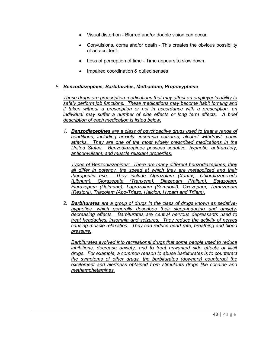- Visual distortion Blurred and/or double vision can occur.
- Convulsions, coma and/or death This creates the obvious possibility of an accident.
- Loss of perception of time Time appears to slow down.
- Impaired coordination & dulled senses

## *F. Benzodiazepines, Barbiturates, Methadone, Propoxyphene*

*These drugs are prescription medications that may affect an employee's ability to safely perform job functions. These medications may become habit forming and if taken without a prescription or not in accordance with a prescription, an individual may suffer a number of side effects or long term effects. A brief description of each medication is listed below.* 

*1. Benzodiazepines are a class of psychoactive drugs used to treat a range of conditions, including anxiety, insomnia seizures, alcohol withdrawl, panic attacks. They are one of the most widely prescribed medications in the United States. Benzodiazepines possess sedative, hypnotic, anti-anxiety, anticonvulsant, and muscle relaxant properties.* 

*Types of Benzodiazepines: There are many different benzodiazepines; they all differ in potency, the speed at which they are metabolized and their therapeutic use. They include Alprazolam (Xanax), Chlordiazepoxide (Librium), Clorazepate (Tranxene), Diazepam (Valium), Estazolam, Flurazepam (Dalmane), Loprazolam (Somnovit), Oxazepam, Temazepam (Restoril), Triazolam (Apo-Triazo, Halcion, Hypam and Trilam).*

*2. Barbiturates are a group of drugs in the class of drugs known as sedativehypnotics, which generally describes their sleep-inducing and anxietydecreasing effects. Barbiturates are central nervous depressants used to treat headaches, insomnia and seizures. They reduce the activity of nerves causing muscle relaxation. They can reduce heart rate, breathing and blood pressure.* 

*Barbiturates evolved into recreational drugs that some people used to reduce inhibitions, decrease anxiety, and to treat unwanted side effects of illicit drugs. For example, a common reason to abuse barbiturates is to counteract the symptoms of other drugs, the barbiturates (downers) counteract the excitement and alertness obtained from stimulants drugs like cocaine and methamphetamines.*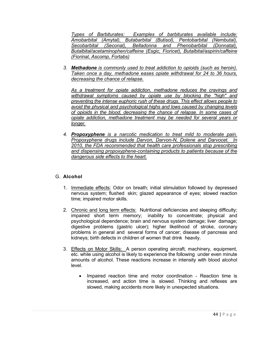*Types of Barbiturates: Examples of barbiturates available include: Amobarbital (Amytal), Butabarbital (Butisol), Pentobarbital (Nembutal), Secobarbital (Seconal), Belladonna and Phenobarbital (Donnatal), Butalbital/acetaminophen/caffeine (Esgic, Fioricet), Butalbital/aspirin/caffeine (Fiorinal, Ascomp, Fortabs)*

*3. Methadone is commonly used to treat addiction to opioids (such as heroin). Taken once a day, methadone eases opiate withdrawal for 24 to 36 hours, decreasing the chance of relapse.*

*As a treatment for opiate addiction, methadone reduces the cravings and withdrawal symptoms caused by opiate use by blocking the "high" and preventing the intense euphoric rush of these drugs. This effect allows people to avoid the physical and psychological highs and lows caused by changing levels of opioids in the blood, decreasing the chance of relapse. In some cases of opiate addiction, methadone treatment may be needed for several years or longer.*

*4. Propoxyphene is a narcotic medication to treat mild to moderate pain. Propoxyphene drugs include Darvon, Darvon-N, Dolene and Darvocet. In 2010, the FDA recommended that health care professionals stop prescribing and dispensing propoxyphene-containing products to patients because of the dangerous side effects to the heart.* 

## G. **Alcohol**

- 1. Immediate effects: Odor on breath; initial stimulation followed by depressed nervous system; flushed skin; glazed appearance of eyes; slowed reaction time; impaired motor skills.
- 2. Chronic and long term effects: Nutritional deficiencies and sleeping difficulty; impaired short term memory; inability to concentrate; physical and psychological dependence; brain and nervous system damage; liver damage; digestive problems (gastric ulcer); higher likelihood of stroke, coronary problems in general and several forms of cancer; disease of pancreas and kidneys; birth defects in children of women that drink heavily.
- 3. Effects on Motor Skills: A person operating aircraft, machinery, equipment, etc. while using alcohol is likely to experience the following under even minute amounts of alcohol. These reactions increase in intensity with blood alcohol level.
	- Impaired reaction time and motor coordination Reaction time is increased, and action time is slowed. Thinking and reflexes are slowed, making accidents more likely in unexpected situations.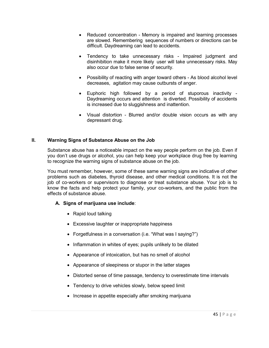- Reduced concentration Memory is impaired and learning processes are slowed. Remembering sequences of numbers or directions can be difficult. Daydreaming can lead to accidents.
- Tendency to take unnecessary risks Impaired judgment and disinhibition make it more likely user will take unnecessary risks. May also occur due to false sense of security.
- Possibility of reacting with anger toward others As blood alcohol level decreases, agitation may cause outbursts of anger.
- Euphoric high followed by a period of stuporous inactivity -Daydreaming occurs and attention is diverted. Possibility of accidents is increased due to sluggishness and inattention.
- Visual distortion Blurred and/or double vision occurs as with any depressant drug.

## **II. Warning Signs of Substance Abuse on the Job**

Substance abuse has a noticeable impact on the way people perform on the job. Even if you don't use drugs or alcohol, you can help keep your workplace drug free by learning to recognize the warning signs of substance abuse on the job.

You must remember, however, some of these same warning signs are indicative of other problems such as diabetes, thyroid disease, and other medical conditions. It is not the job of co-workers or supervisors to diagnose or treat substance abuse. Your job is to know the facts and help protect your family, your co-workers, and the public from the effects of substance abuse.

#### **A. Signs of marijuana use include**:

- Rapid loud talking
- Excessive laughter or inappropriate happiness
- Forgetfulness in a conversation (i.e. "What was I saying?")
- Inflammation in whites of eyes; pupils unlikely to be dilated
- Appearance of intoxication, but has no smell of alcohol
- Appearance of sleepiness or stupor in the latter stages
- Distorted sense of time passage, tendency to overestimate time intervals
- Tendency to drive vehicles slowly, below speed limit
- Increase in appetite especially after smoking marijuana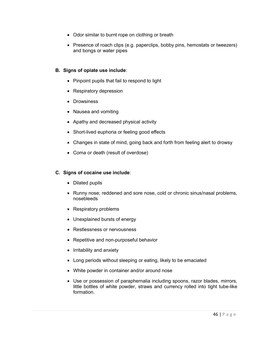- Odor similar to burnt rope on clothing or breath
- Presence of roach clips (e.g. paperclips, bobby pins, hemostats or tweezers) and bongs or water pipes

## **B. Signs of opiate use include**:

- Pinpoint pupils that fail to respond to light
- Respiratory depression
- Drowsiness
- Nausea and vomiting
- Apathy and decreased physical activity
- Short-lived euphoria or feeling good effects
- Changes in state of mind, going back and forth from feeling alert to drowsy
- Coma or death (result of overdose)

## **C. Signs of cocaine use include**:

- $\bullet$  Dilated pupils
- Runny nose; reddened and sore nose, cold or chronic sinus/nasal problems, nosebleeds
- Respiratory problems
- Unexplained bursts of energy
- Restlessness or nervousness
- Repetitive and non-purposeful behavior
- Irritability and anxiety
- Long periods without sleeping or eating, likely to be emaciated
- White powder in container and/or around nose
- Use or possession of paraphernalia including spoons, razor blades, mirrors, little bottles of white powder, straws and currency rolled into tight tube-like formation.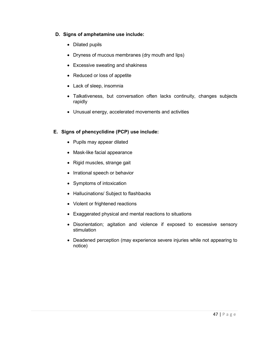## **D. Signs of amphetamine use include:**

- Dilated pupils
- Dryness of mucous membranes (dry mouth and lips)
- Excessive sweating and shakiness
- Reduced or loss of appetite
- Lack of sleep, insomnia
- Talkativeness, but conversation often lacks continuity, changes subjects rapidly
- Unusual energy, accelerated movements and activities

## **E. Signs of phencyclidine (PCP) use include:**

- Pupils may appear dilated
- Mask-like facial appearance
- Rigid muscles, strange gait
- Irrational speech or behavior
- Symptoms of intoxication
- Hallucinations/ Subject to flashbacks
- Violent or frightened reactions
- Exaggerated physical and mental reactions to situations
- Disorientation; agitation and violence if exposed to excessive sensory stimulation
- Deadened perception (may experience severe injuries while not appearing to notice)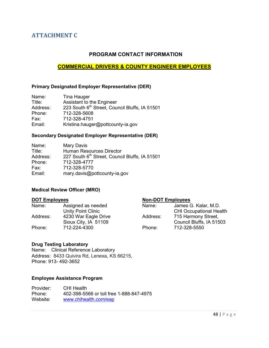# <span id="page-48-1"></span><span id="page-48-0"></span>**ATTACHMENT C**

## **PROGRAM CONTACT INFORMATION**

## **COMMERCIAL DRIVERS & COUNTY ENGINEER EMPLOYEES**

#### **Primary Designated Employer Representative (DER)**

| Name:    | Tina Hauger                                    |
|----------|------------------------------------------------|
| Title:   | Assistant to the Engineer                      |
| Address: | 223 South 6th Street, Council Bluffs, IA 51501 |
| Phone:   | 712-328-5608                                   |
| Fax:     | 712-328-4751                                   |
| Email:   | Kristina.hauger@pottcounty-ia.gov              |

#### **Secondary Designated Employer Representative (DER)**

| Name:    | Mary Davis                                     |
|----------|------------------------------------------------|
| Title:   | Human Resources Director                       |
| Address: | 227 South 6th Street, Council Bluffs, IA 51501 |
| Phone:   | 712-328-4777                                   |
| Fax:     | 712-328-5770                                   |
| Email:   | mary.davis@pottcounty-ia.gov                   |

#### **Medical Review Officer (MRO)**

#### **DOT Employees Non-DOT Employees**

| Name:    | Assigned as needed   | Name:    | James G. Kalar, M.D.           |
|----------|----------------------|----------|--------------------------------|
|          | Unity Point Clinic   |          | <b>CHI Occupational Health</b> |
| Address: | 4230 War Eagle Drive | Address: | 715 Harmony Street,            |
|          | Sioux City, IA 51109 |          | Council Bluffs, IA 51503       |
| Phone:   | 712-224-4300         | Phone:   | 712-328-5550                   |
|          |                      |          |                                |

#### **Drug Testing Laboratory**

Name: Clinical Reference Laboratory Address: 8433 Quivira Rd, Lenexa, KS 66215, Phone: 913- 492-3652

#### **Employee Assistance Program**

| Provider: | CHI Health                               |
|-----------|------------------------------------------|
| Phone:    | 402-398-5566 or toll free 1-888-847-4975 |
| Website:  | www.chihealth.com/eap                    |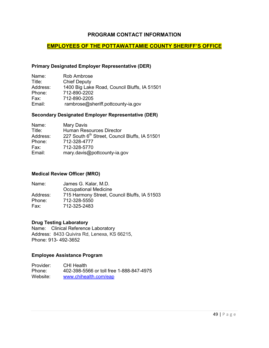## **PROGRAM CONTACT INFORMATION**

## **EMPLOYEES OF THE POTTAWATTAMIE COUNTY SHERIFF'S OFFICE**

#### **Primary Designated Employer Representative (DER)**

| Name:    | Rob Ambrose                                  |
|----------|----------------------------------------------|
| Title:   | <b>Chief Deputy</b>                          |
| Address: | 1400 Big Lake Road, Council Bluffs, IA 51501 |
| Phone:   | 712-890-2202                                 |
| Fax:     | 712-890-2205                                 |
| Email:   | rambrose@sheriff.pottcounty-ia.gov           |

#### **Secondary Designated Employer Representative (DER)**

| Name:    | Mary Davis                                     |
|----------|------------------------------------------------|
| Title:   | <b>Human Resources Director</b>                |
| Address: | 227 South 6th Street, Council Bluffs, IA 51501 |
| Phone:   | 712-328-4777                                   |
| Fax:     | 712-328-5770                                   |
| Email:   | mary.davis@pottcounty-ia.gov                   |

#### **Medical Review Officer (MRO)**

| Name:    | James G. Kalar, M.D.                         |
|----------|----------------------------------------------|
|          | Occupational Medicine                        |
| Address: | 715 Harmony Street, Council Bluffs, IA 51503 |
| Phone:   | 712-328-5550                                 |
| Fax:     | 712-325-2483                                 |

#### **Drug Testing Laboratory**

Name: Clinical Reference Laboratory Address:8433 Quivira Rd, Lenexa, KS 66215, Phone: 913- 492-3652

#### **Employee Assistance Program**

Provider: CHI Health<br>Phone: 402-398-55 Phone: 402-398-5566 or toll free 1-888-847-4975<br>Website: www.chihealth.com/eap [www.chihealth.com/eap](http://www.chihealth.com/eap)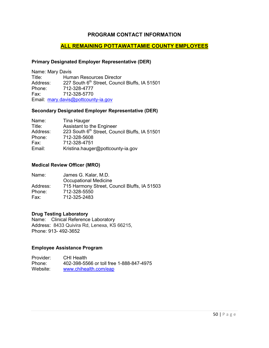## **PROGRAM CONTACT INFORMATION**

## **ALL REMAINING POTTAWATTAMIE COUNTY EMPLOYEES**

#### **Primary Designated Employer Representative (DER)**

Name: Mary Davis Title: Human Resources Director<br>Address: 227 South  $6<sup>th</sup>$  Street, Counci Address:  $227$  South 6<sup>th</sup> Street, Council Bluffs, IA 51501<br>Phone:  $712-328-4777$ Phone: 712-328-4777<br>Fax: 712-328-5770 Fax: 712-328-5770 Email: [mary.davis@pottcounty-ia.gov](mailto:mary.davis@pottcounty-ia.gov)

#### **Secondary Designated Employer Representative (DER)**

| Name:    | Tina Hauger                                    |
|----------|------------------------------------------------|
| Title:   | Assistant to the Engineer                      |
| Address: | 223 South 6th Street, Council Bluffs, IA 51501 |
| Phone:   | 712-328-5608                                   |
| Fax:     | 712-328-4751                                   |
| Email:   | Kristina.hauger@pottcounty-ia.gov              |

#### **Medical Review Officer (MRO)**

| Name:    | James G. Kalar, M.D.                         |
|----------|----------------------------------------------|
|          | <b>Occupational Medicine</b>                 |
| Address: | 715 Harmony Street, Council Bluffs, IA 51503 |
| Phone:   | 712-328-5550                                 |
| Fax:     | 712-325-2483                                 |

#### **Drug Testing Laboratory**

Name: Clinical Reference Laboratory Address:8433 Quivira Rd, Lenexa, KS 66215, Phone: 913- 492-3652

#### **Employee Assistance Program**

Provider: CHI Health Phone: 402-398-5566 or toll free 1-888-847-4975 Website: [www.chihealth.com/eap](http://www.chihealth.com/eap)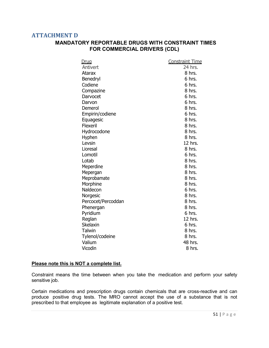## <span id="page-51-1"></span><span id="page-51-0"></span>**ATTACHMENT D**

## **MANDATORY REPORTABLE DRUGS WITH CONSTRAINT TIMES FOR COMMERCIAL DRIVERS (CDL)**

| Drug               | <b>Constraint Time</b> |
|--------------------|------------------------|
| Antivert           | 24 hrs.                |
| <b>Atarax</b>      | 8 hrs.                 |
| Benedryl           | 6 hrs.                 |
| Codiene            | 6 hrs.                 |
| Compazine          | 8 hrs.                 |
| Darvocet           | 6 hrs.                 |
| Darvon             | 6 hrs.                 |
| Demerol            | 8 hrs.                 |
| Empirin/codiene    | 6 hrs.                 |
| Equagesic          | 8 hrs.                 |
| Flexeril           | 8 hrs.                 |
| Hydrocodone        | 8 hrs.                 |
| Hyphen             | 8 hrs.                 |
| Levsin             | 12 hrs.                |
| Lioresal           | 8 hrs.                 |
| Lomotil            | 6 hrs.                 |
| Lotab              | 8 hrs.                 |
| Meperdine          | 8 hrs.                 |
| Mepergan           | 8 hrs.                 |
| Meprobamate        | 8 hrs.                 |
| Morphine           | 8 hrs.                 |
| Naldecon           | 6 hrs.                 |
| Norgesic           | 8 hrs.                 |
| Percocet/Percoddan | 8 hrs.                 |
| Phenergan          | 8 hrs.                 |
| Pyridium           | 6 hrs.                 |
| Reglan             | 12 hrs.                |
| <b>Skelaxin</b>    | 6 hrs.                 |
| <b>Talwin</b>      | 8 hrs.                 |
| Tylenol/codeine    | 8 hrs.                 |
| Valium             | 48 hrs.                |
| Vicodin            | 8 hrs.                 |

#### **Please note this is NOT a complete list.**

Constraint means the time between when you take the medication and perform your safety sensitive job.

Certain medications and prescription drugs contain chemicals that are cross-reactive and can produce positive drug tests. The MRO cannot accept the use of a substance that is not prescribed to that employee as legitimate explanation of a positive test.